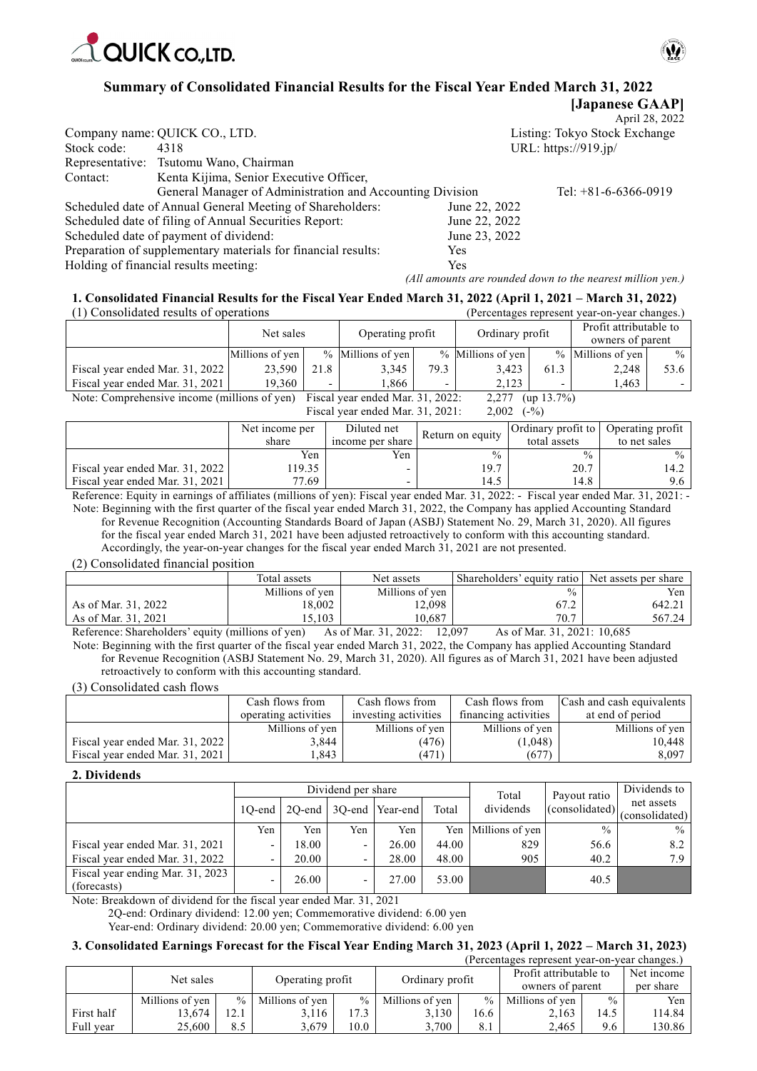



**[Japanese GAAP]** 

## **Summary of Consolidated Financial Results for the Fiscal Year Ended March 31, 2022**

|             |                                                               |               | April 28, 2022                |
|-------------|---------------------------------------------------------------|---------------|-------------------------------|
|             | Company name: QUICK CO., LTD.                                 |               | Listing: Tokyo Stock Exchange |
| Stock code: | 4318                                                          |               | URL: https://919.jp/          |
|             | Representative: Tsutomu Wano, Chairman                        |               |                               |
| Contact:    | Kenta Kijima, Senior Executive Officer,                       |               |                               |
|             | General Manager of Administration and Accounting Division     |               | Tel: $+81-6-6366-0919$        |
|             | Scheduled date of Annual General Meeting of Shareholders:     | June 22, 2022 |                               |
|             | Scheduled date of filing of Annual Securities Report:         | June 22, 2022 |                               |
|             | Scheduled date of payment of dividend:                        | June 23, 2022 |                               |
|             | Preparation of supplementary materials for financial results: | <b>Yes</b>    |                               |
|             | Holding of financial results meeting:                         | Yes           |                               |

*(All amounts are rounded down to the nearest million yen.)*

#### **1. Consolidated Financial Results for the Fiscal Year Ended March 31, 2022 (April 1, 2021 – March 31, 2022)** (1) Consolidated results of operations (Percentages represent year-on-year changes.)

| 11 Consondated results of operations         |                 |      |                                  |      |                   |               | тегсентарся гергеясны усаг-он-усаг спанрея.) |               |
|----------------------------------------------|-----------------|------|----------------------------------|------|-------------------|---------------|----------------------------------------------|---------------|
|                                              | Net sales       |      | Operating profit                 |      | Ordinary profit   |               | Profit attributable to<br>owners of parent   |               |
|                                              | Millions of yen |      | % Millions of yen                |      | % Millions of yen |               | $%$ Millions of yen                          | $\frac{0}{0}$ |
| Fiscal year ended Mar. 31, 2022              | 23,590          | 21.8 | 3,345                            | 79.3 | 3.423             | 61.3          | 2,248                                        | 53.6          |
| Fiscal year ended Mar. 31, 2021              | 19.360          |      | 1.866                            |      | 2.123             |               | 1.463                                        |               |
| Note: Comprehensive income (millions of yen) |                 |      | Fiscal year ended Mar. 31, 2022: |      | 2.277             | $(up 13.7\%)$ |                                              |               |

Fiscal year ended Mar. 31, 2021: 2,002 (-%)

|                                 | Net income per<br>share | Diluted net<br>income per share | Return on equity | <b>Ordinary profit to Operating profit</b><br>total assets | to net sales |
|---------------------------------|-------------------------|---------------------------------|------------------|------------------------------------------------------------|--------------|
|                                 | Yen                     | Yen                             | $\frac{0}{0}$    | $\frac{0}{0}$                                              | $\%$         |
| Fiscal year ended Mar. 31, 2022 | 19.35                   |                                 | 19.7             | 20.7                                                       | 14.2         |
| Fiscal vear ended Mar. 31, 2021 | 77.69                   |                                 | 14.5             | 14.8                                                       | 9.6          |

Reference: Equity in earnings of affiliates (millions of yen): Fiscal year ended Mar. 31, 2022: - Fiscal year ended Mar. 31, 2021: - Note: Beginning with the first quarter of the fiscal year ended March 31, 2022, the Company has applied Accounting Standard for Revenue Recognition (Accounting Standards Board of Japan (ASBJ) Statement No. 29, March 31, 2020). All figures for the fiscal year ended March 31, 2021 have been adjusted retroactively to conform with this accounting standard. Accordingly, the year-on-year changes for the fiscal year ended March 31, 2021 are not presented.

(2) Consolidated financial position

|                                                   | Total assets    | Net assets                       | Shareholders' equity ratio        | Net assets per share |
|---------------------------------------------------|-----------------|----------------------------------|-----------------------------------|----------------------|
|                                                   | Millions of yen | Millions of yen                  | $\frac{0}{0}$                     | Yen i                |
| As of Mar. 31, 2022                               | 18,002          | 12.098                           | 67.2                              | 642.21               |
| As of Mar. 31, 2021                               | 15.103          | 10.687                           | 70.7                              | 567.24               |
| Defense on Chanabaldons' county (millions of you) |                 | $A_0 = f M_0 + 21.2022$ , 12.007 | $A_2 = f M_2 + 21$ $2021 + 10605$ |                      |

Reference: Shareholders' equity (millions of yen) As of Mar. 31, 2022: 12,097 As of Mar. 31, 2021: 10,685 Note: Beginning with the first quarter of the fiscal year ended March 31, 2022, the Company has applied Accounting Standard for Revenue Recognition (ASBJ Statement No. 29, March 31, 2020). All figures as of March 31, 2021 have been adjusted retroactively to conform with this accounting standard.

(3) Consolidated cash flows

|                                 | Cash flows from      | Cash flows from      | Cash flows from      | <b>Cash and cash equivalents</b> |
|---------------------------------|----------------------|----------------------|----------------------|----------------------------------|
|                                 | operating activities | investing activities | financing activities | at end of period                 |
|                                 | Millions of yen      | Millions of yen      | Millions of yen      | Millions of yen                  |
| Fiscal year ended Mar. 31, 2022 | 3,844                | (476)                | (1,048)              | 10,448                           |
| Fiscal year ended Mar. 31, 2021 | .843                 | (471)                | (677)                | 8,097                            |

#### **2. Dividends**

|                                                 |                          |       | Dividend per share       |                        |       | Total           | Payout ratio   | Dividends to                 |
|-------------------------------------------------|--------------------------|-------|--------------------------|------------------------|-------|-----------------|----------------|------------------------------|
|                                                 | 10-end                   |       |                          | 2Q-end 3Q-end Year-end | Total | dividends       | (consolidated) | net assets<br>(consolidated) |
|                                                 | Yen                      | Yen   | Yen                      | Yen                    | Yen   | Millions of yen | $\frac{0}{0}$  | $\frac{0}{0}$                |
| Fiscal year ended Mar. 31, 2021                 | $\overline{\phantom{a}}$ | 18.00 | $\overline{\phantom{0}}$ | 26.00                  | 44.00 | 829             | 56.6           | 8.2                          |
| Fiscal year ended Mar. 31, 2022                 | $\overline{\phantom{a}}$ | 20.00 | $\overline{\phantom{0}}$ | 28.00                  | 48.00 | 905             | 40.2           | 7.9                          |
| Fiscal year ending Mar. 31, 2023<br>(forecasts) | $\overline{\phantom{0}}$ | 26.00 |                          | 27.00                  | 53.00 |                 | 40.5           |                              |

Note: Breakdown of dividend for the fiscal year ended Mar. 31, 2021

2Q-end: Ordinary dividend: 12.00 yen; Commemorative dividend: 6.00 yen

Year-end: Ordinary dividend: 20.00 yen; Commemorative dividend: 6.00 yen

## **3. Consolidated Earnings Forecast for the Fiscal Year Ending March 31, 2023 (April 1, 2022 – March 31, 2023)**

|            |                 |      |                  |               |                 |      | (Percentages represent year-on-year changes.) |               |            |
|------------|-----------------|------|------------------|---------------|-----------------|------|-----------------------------------------------|---------------|------------|
|            | Net sales       |      |                  |               | Ordinary profit |      | Profit attributable to                        |               | Net income |
|            |                 |      | Operating profit |               |                 |      | owners of parent                              |               | per share  |
|            | Millions of yen | $\%$ | Millions of yen  | $\frac{0}{0}$ | Millions of yen |      | $%$ Millions of yen                           | $\frac{0}{0}$ | Yen        |
| First half | 13.674          | 12.1 | 3.116            | 17.3          | 3.130           | 16.6 | 2.163                                         | 14.5          | 114.84     |
| Full vear  | 25,600          | 8.5  | 3.679            | 10.0          | 3.700           | 8.1  | 2.465                                         | 9.6           | 130.86     |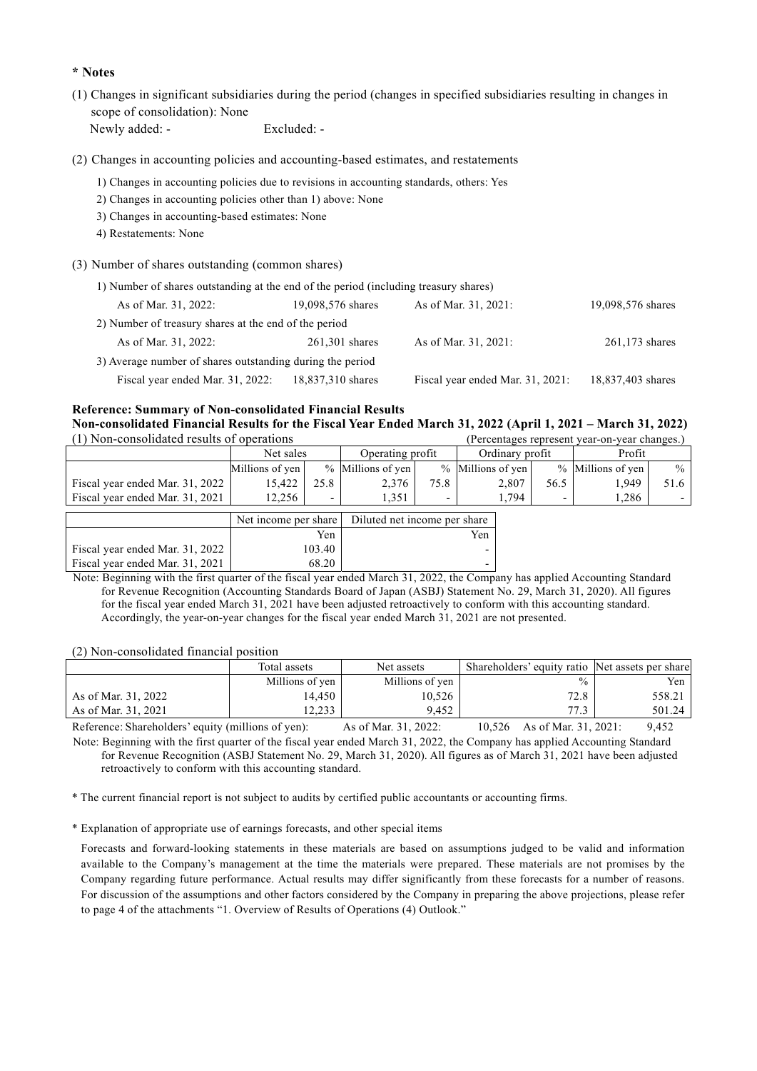## **\* Notes**

(1) Changes in significant subsidiaries during the period (changes in specified subsidiaries resulting in changes in scope of consolidation): None

Newly added: - Excluded: -

(2) Changes in accounting policies and accounting-based estimates, and restatements

- 1) Changes in accounting policies due to revisions in accounting standards, others: Yes
- 2) Changes in accounting policies other than 1) above: None
- 3) Changes in accounting-based estimates: None
- 4) Restatements: None
- (3) Number of shares outstanding (common shares)

| 1) Number of shares outstanding at the end of the period (including treasury shares) |                   |                                  |                   |
|--------------------------------------------------------------------------------------|-------------------|----------------------------------|-------------------|
| As of Mar. 31, 2022:                                                                 | 19,098,576 shares | As of Mar. 31, 2021:             | 19,098,576 shares |
| 2) Number of treasury shares at the end of the period                                |                   |                                  |                   |
| As of Mar. 31, 2022:                                                                 | $261,301$ shares  | As of Mar. 31, 2021:             | $261,173$ shares  |
| 3) Average number of shares outstanding during the period                            |                   |                                  |                   |
| Fiscal year ended Mar. 31, 2022:                                                     | 18,837,310 shares | Fiscal year ended Mar. 31, 2021: | 18,837,403 shares |

**Reference: Summary of Non-consolidated Financial Results Non-consolidated Financial Results for the Fiscal Year Ended March 31, 2022 (April 1, 2021 – March 31, 2022)** 

| (1) Non-consolidated results of operations |                      |        |                              |      |                   |      | (Percentages represent year-on-year changes.) |      |
|--------------------------------------------|----------------------|--------|------------------------------|------|-------------------|------|-----------------------------------------------|------|
|                                            | Net sales            |        | Operating profit             |      | Ordinary profit   |      | Profit                                        |      |
|                                            | Millions of yen      |        | % Millions of yen            |      | % Millions of yen |      | % Millions of yen                             | $\%$ |
| Fiscal year ended Mar. 31, 2022            | 15,422               | 25.8   | 2,376                        | 75.8 | 2,807             | 56.5 | 1,949                                         | 51.6 |
| Fiscal year ended Mar. 31, 2021            | 12,256               |        | 1.351                        |      | 1,794             |      | 1,286                                         |      |
|                                            | Net income per share |        | Diluted net income per share |      |                   |      |                                               |      |
|                                            |                      | Yen    |                              |      | Yen               |      |                                               |      |
| Fiscal year ended Mar. 31, 2022            |                      | 103.40 |                              |      | -                 |      |                                               |      |

Fiscal year ended Mar.  $31, 2021$  68.20 Note: Beginning with the first quarter of the fiscal year ended March 31, 2022, the Company has applied Accounting Standard for Revenue Recognition (Accounting Standards Board of Japan (ASBJ) Statement No. 29, March 31, 2020). All figures for the fiscal year ended March 31, 2021 have been adjusted retroactively to conform with this accounting standard. Accordingly, the year-on-year changes for the fiscal year ended March 31, 2021 are not presented.

(2) Non-consolidated financial position

|                         | Total assets    | Net assets                                                       | Shareholders' equity ratio Net assets per share |        |
|-------------------------|-----------------|------------------------------------------------------------------|-------------------------------------------------|--------|
|                         | Millions of yen | Millions of yen                                                  | $\frac{0}{0}$                                   | Yen    |
| As of Mar. 31, 2022     | 14.450          | 10,526                                                           | 72.8                                            | 558.21 |
| As of Mar. 31, 2021     | 12.233          | 9.452                                                            | 77.3                                            | 501.24 |
| n C C I II 1 2 4 41 2 V |                 | $\lambda$ $\sim$ $\lambda$ $\lambda$ $\sim$ $\sim$ $\sim$ $\sim$ | $10.526 \rightarrow 0.15$ $21.2021$             | 0.452  |

Reference: Shareholders' equity (millions of yen): As of Mar. 31, 2022: 10,526 As of Mar. 31, 2021: 9,452 Note: Beginning with the first quarter of the fiscal year ended March 31, 2022, the Company has applied Accounting Standard for Revenue Recognition (ASBJ Statement No. 29, March 31, 2020). All figures as of March 31, 2021 have been adjusted retroactively to conform with this accounting standard.

\* The current financial report is not subject to audits by certified public accountants or accounting firms.

\* Explanation of appropriate use of earnings forecasts, and other special items

Forecasts and forward-looking statements in these materials are based on assumptions judged to be valid and information available to the Company's management at the time the materials were prepared. These materials are not promises by the Company regarding future performance. Actual results may differ significantly from these forecasts for a number of reasons. For discussion of the assumptions and other factors considered by the Company in preparing the above projections, please refer to page 4 of the attachments "1. Overview of Results of Operations (4) Outlook."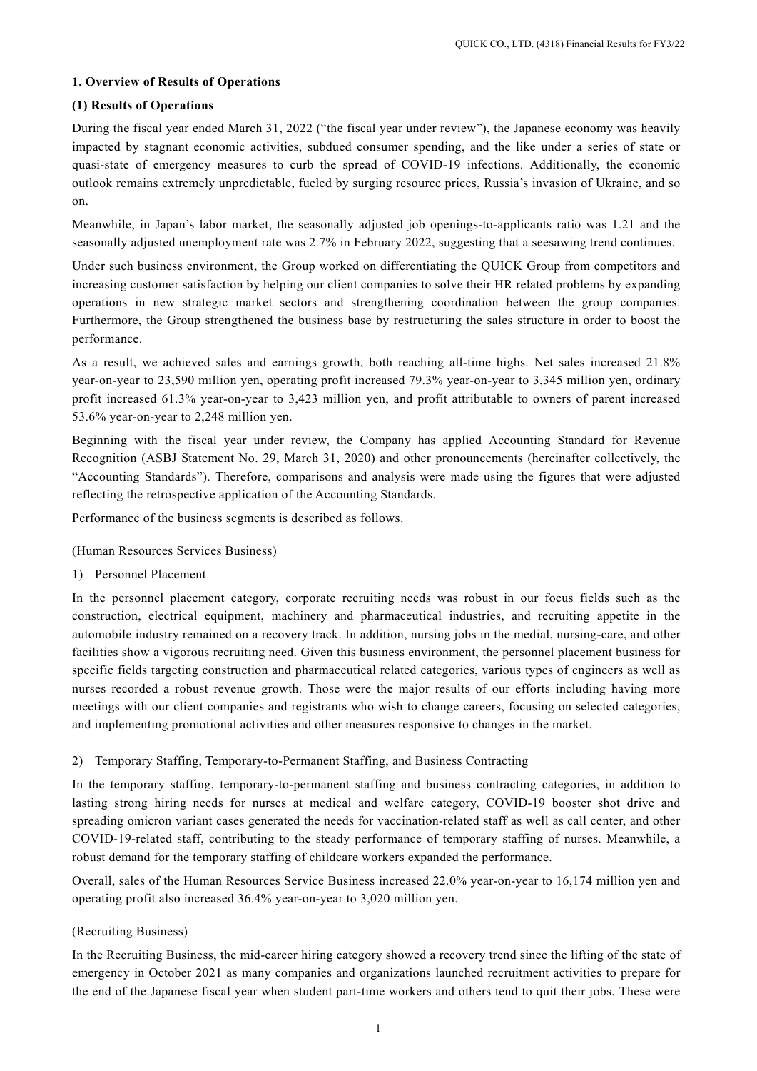## **1. Overview of Results of Operations**

## **(1) Results of Operations**

During the fiscal year ended March 31, 2022 ("the fiscal year under review"), the Japanese economy was heavily impacted by stagnant economic activities, subdued consumer spending, and the like under a series of state or quasi-state of emergency measures to curb the spread of COVID-19 infections. Additionally, the economic outlook remains extremely unpredictable, fueled by surging resource prices, Russia's invasion of Ukraine, and so on.

Meanwhile, in Japan's labor market, the seasonally adjusted job openings-to-applicants ratio was 1.21 and the seasonally adjusted unemployment rate was 2.7% in February 2022, suggesting that a seesawing trend continues.

Under such business environment, the Group worked on differentiating the QUICK Group from competitors and increasing customer satisfaction by helping our client companies to solve their HR related problems by expanding operations in new strategic market sectors and strengthening coordination between the group companies. Furthermore, the Group strengthened the business base by restructuring the sales structure in order to boost the performance.

As a result, we achieved sales and earnings growth, both reaching all-time highs. Net sales increased 21.8% year-on-year to 23,590 million yen, operating profit increased 79.3% year-on-year to 3,345 million yen, ordinary profit increased 61.3% year-on-year to 3,423 million yen, and profit attributable to owners of parent increased 53.6% year-on-year to 2,248 million yen.

Beginning with the fiscal year under review, the Company has applied Accounting Standard for Revenue Recognition (ASBJ Statement No. 29, March 31, 2020) and other pronouncements (hereinafter collectively, the "Accounting Standards"). Therefore, comparisons and analysis were made using the figures that were adjusted reflecting the retrospective application of the Accounting Standards.

Performance of the business segments is described as follows.

## (Human Resources Services Business)

1) Personnel Placement

In the personnel placement category, corporate recruiting needs was robust in our focus fields such as the construction, electrical equipment, machinery and pharmaceutical industries, and recruiting appetite in the automobile industry remained on a recovery track. In addition, nursing jobs in the medial, nursing-care, and other facilities show a vigorous recruiting need. Given this business environment, the personnel placement business for specific fields targeting construction and pharmaceutical related categories, various types of engineers as well as nurses recorded a robust revenue growth. Those were the major results of our efforts including having more meetings with our client companies and registrants who wish to change careers, focusing on selected categories, and implementing promotional activities and other measures responsive to changes in the market.

## 2) Temporary Staffing, Temporary-to-Permanent Staffing, and Business Contracting

In the temporary staffing, temporary-to-permanent staffing and business contracting categories, in addition to lasting strong hiring needs for nurses at medical and welfare category, COVID-19 booster shot drive and spreading omicron variant cases generated the needs for vaccination-related staff as well as call center, and other COVID-19-related staff, contributing to the steady performance of temporary staffing of nurses. Meanwhile, a robust demand for the temporary staffing of childcare workers expanded the performance.

Overall, sales of the Human Resources Service Business increased 22.0% year-on-year to 16,174 million yen and operating profit also increased 36.4% year-on-year to 3,020 million yen.

## (Recruiting Business)

In the Recruiting Business, the mid-career hiring category showed a recovery trend since the lifting of the state of emergency in October 2021 as many companies and organizations launched recruitment activities to prepare for the end of the Japanese fiscal year when student part-time workers and others tend to quit their jobs. These were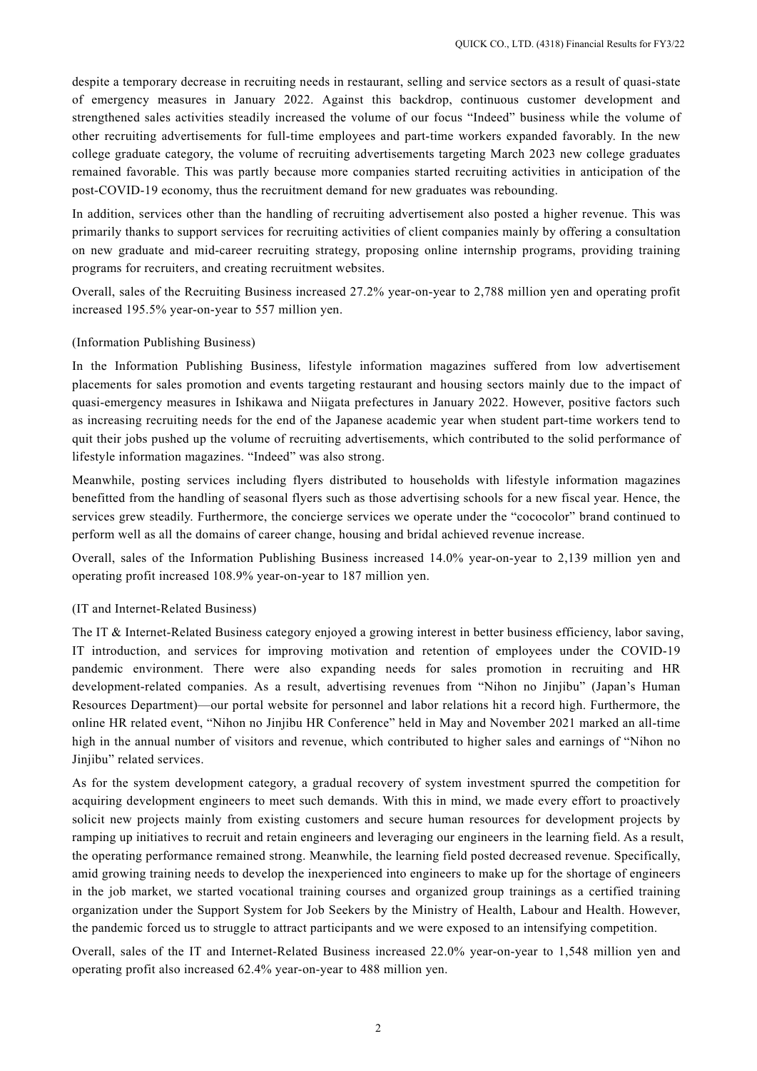despite a temporary decrease in recruiting needs in restaurant, selling and service sectors as a result of quasi-state of emergency measures in January 2022. Against this backdrop, continuous customer development and strengthened sales activities steadily increased the volume of our focus "Indeed" business while the volume of other recruiting advertisements for full-time employees and part-time workers expanded favorably. In the new college graduate category, the volume of recruiting advertisements targeting March 2023 new college graduates remained favorable. This was partly because more companies started recruiting activities in anticipation of the post-COVID-19 economy, thus the recruitment demand for new graduates was rebounding.

In addition, services other than the handling of recruiting advertisement also posted a higher revenue. This was primarily thanks to support services for recruiting activities of client companies mainly by offering a consultation on new graduate and mid-career recruiting strategy, proposing online internship programs, providing training programs for recruiters, and creating recruitment websites.

Overall, sales of the Recruiting Business increased 27.2% year-on-year to 2,788 million yen and operating profit increased 195.5% year-on-year to 557 million yen.

## (Information Publishing Business)

In the Information Publishing Business, lifestyle information magazines suffered from low advertisement placements for sales promotion and events targeting restaurant and housing sectors mainly due to the impact of quasi-emergency measures in Ishikawa and Niigata prefectures in January 2022. However, positive factors such as increasing recruiting needs for the end of the Japanese academic year when student part-time workers tend to quit their jobs pushed up the volume of recruiting advertisements, which contributed to the solid performance of lifestyle information magazines. "Indeed" was also strong.

Meanwhile, posting services including flyers distributed to households with lifestyle information magazines benefitted from the handling of seasonal flyers such as those advertising schools for a new fiscal year. Hence, the services grew steadily. Furthermore, the concierge services we operate under the "cococolor" brand continued to perform well as all the domains of career change, housing and bridal achieved revenue increase.

Overall, sales of the Information Publishing Business increased 14.0% year-on-year to 2,139 million yen and operating profit increased 108.9% year-on-year to 187 million yen.

#### (IT and Internet-Related Business)

The IT & Internet-Related Business category enjoyed a growing interest in better business efficiency, labor saving, IT introduction, and services for improving motivation and retention of employees under the COVID-19 pandemic environment. There were also expanding needs for sales promotion in recruiting and HR development-related companies. As a result, advertising revenues from "Nihon no Jinjibu" (Japan's Human Resources Department)—our portal website for personnel and labor relations hit a record high. Furthermore, the online HR related event, "Nihon no Jinjibu HR Conference" held in May and November 2021 marked an all-time high in the annual number of visitors and revenue, which contributed to higher sales and earnings of "Nihon no Jinjibu" related services.

As for the system development category, a gradual recovery of system investment spurred the competition for acquiring development engineers to meet such demands. With this in mind, we made every effort to proactively solicit new projects mainly from existing customers and secure human resources for development projects by ramping up initiatives to recruit and retain engineers and leveraging our engineers in the learning field. As a result, the operating performance remained strong. Meanwhile, the learning field posted decreased revenue. Specifically, amid growing training needs to develop the inexperienced into engineers to make up for the shortage of engineers in the job market, we started vocational training courses and organized group trainings as a certified training organization under the Support System for Job Seekers by the Ministry of Health, Labour and Health. However, the pandemic forced us to struggle to attract participants and we were exposed to an intensifying competition.

Overall, sales of the IT and Internet-Related Business increased 22.0% year-on-year to 1,548 million yen and operating profit also increased 62.4% year-on-year to 488 million yen.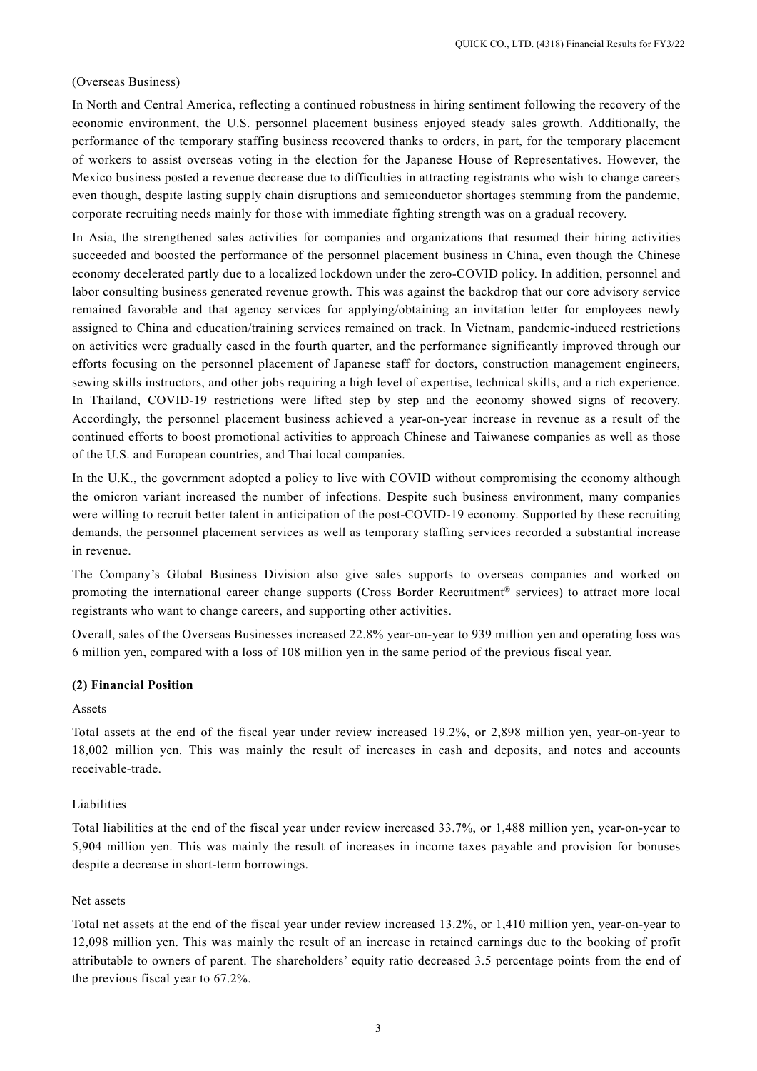#### (Overseas Business)

In North and Central America, reflecting a continued robustness in hiring sentiment following the recovery of the economic environment, the U.S. personnel placement business enjoyed steady sales growth. Additionally, the performance of the temporary staffing business recovered thanks to orders, in part, for the temporary placement of workers to assist overseas voting in the election for the Japanese House of Representatives. However, the Mexico business posted a revenue decrease due to difficulties in attracting registrants who wish to change careers even though, despite lasting supply chain disruptions and semiconductor shortages stemming from the pandemic, corporate recruiting needs mainly for those with immediate fighting strength was on a gradual recovery.

In Asia, the strengthened sales activities for companies and organizations that resumed their hiring activities succeeded and boosted the performance of the personnel placement business in China, even though the Chinese economy decelerated partly due to a localized lockdown under the zero-COVID policy. In addition, personnel and labor consulting business generated revenue growth. This was against the backdrop that our core advisory service remained favorable and that agency services for applying/obtaining an invitation letter for employees newly assigned to China and education/training services remained on track. In Vietnam, pandemic-induced restrictions on activities were gradually eased in the fourth quarter, and the performance significantly improved through our efforts focusing on the personnel placement of Japanese staff for doctors, construction management engineers, sewing skills instructors, and other jobs requiring a high level of expertise, technical skills, and a rich experience. In Thailand, COVID-19 restrictions were lifted step by step and the economy showed signs of recovery. Accordingly, the personnel placement business achieved a year-on-year increase in revenue as a result of the continued efforts to boost promotional activities to approach Chinese and Taiwanese companies as well as those of the U.S. and European countries, and Thai local companies.

In the U.K., the government adopted a policy to live with COVID without compromising the economy although the omicron variant increased the number of infections. Despite such business environment, many companies were willing to recruit better talent in anticipation of the post-COVID-19 economy. Supported by these recruiting demands, the personnel placement services as well as temporary staffing services recorded a substantial increase in revenue.

The Company's Global Business Division also give sales supports to overseas companies and worked on promoting the international career change supports (Cross Border Recruitment® services) to attract more local registrants who want to change careers, and supporting other activities.

Overall, sales of the Overseas Businesses increased 22.8% year-on-year to 939 million yen and operating loss was 6 million yen, compared with a loss of 108 million yen in the same period of the previous fiscal year.

#### **(2) Financial Position**

#### Assets

Total assets at the end of the fiscal year under review increased 19.2%, or 2,898 million yen, year-on-year to 18,002 million yen. This was mainly the result of increases in cash and deposits, and notes and accounts receivable-trade.

#### Liabilities

Total liabilities at the end of the fiscal year under review increased 33.7%, or 1,488 million yen, year-on-year to 5,904 million yen. This was mainly the result of increases in income taxes payable and provision for bonuses despite a decrease in short-term borrowings.

## Net assets

Total net assets at the end of the fiscal year under review increased 13.2%, or 1,410 million yen, year-on-year to 12,098 million yen. This was mainly the result of an increase in retained earnings due to the booking of profit attributable to owners of parent. The shareholders' equity ratio decreased 3.5 percentage points from the end of the previous fiscal year to 67.2%.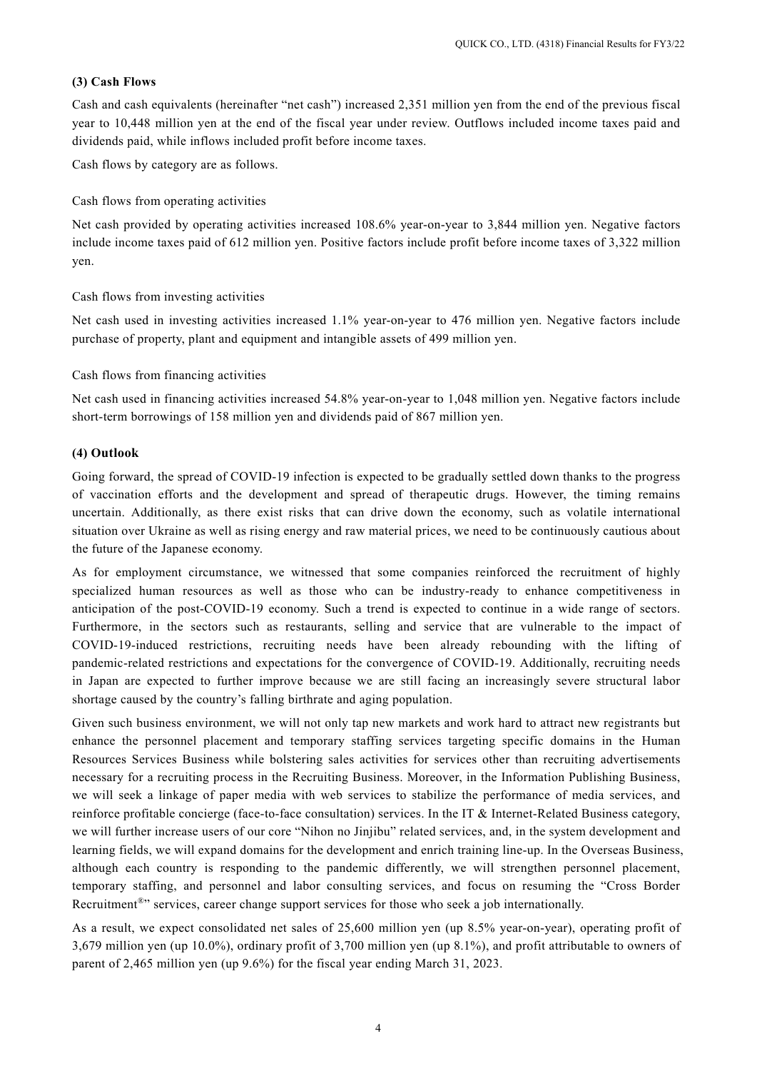### **(3) Cash Flows**

Cash and cash equivalents (hereinafter "net cash") increased 2,351 million yen from the end of the previous fiscal year to 10,448 million yen at the end of the fiscal year under review. Outflows included income taxes paid and dividends paid, while inflows included profit before income taxes.

Cash flows by category are as follows.

Cash flows from operating activities

Net cash provided by operating activities increased 108.6% year-on-year to 3,844 million yen. Negative factors include income taxes paid of 612 million yen. Positive factors include profit before income taxes of 3,322 million yen.

Cash flows from investing activities

Net cash used in investing activities increased 1.1% year-on-year to 476 million yen. Negative factors include purchase of property, plant and equipment and intangible assets of 499 million yen.

Cash flows from financing activities

Net cash used in financing activities increased 54.8% year-on-year to 1,048 million yen. Negative factors include short-term borrowings of 158 million yen and dividends paid of 867 million yen.

## **(4) Outlook**

Going forward, the spread of COVID-19 infection is expected to be gradually settled down thanks to the progress of vaccination efforts and the development and spread of therapeutic drugs. However, the timing remains uncertain. Additionally, as there exist risks that can drive down the economy, such as volatile international situation over Ukraine as well as rising energy and raw material prices, we need to be continuously cautious about the future of the Japanese economy.

As for employment circumstance, we witnessed that some companies reinforced the recruitment of highly specialized human resources as well as those who can be industry-ready to enhance competitiveness in anticipation of the post-COVID-19 economy. Such a trend is expected to continue in a wide range of sectors. Furthermore, in the sectors such as restaurants, selling and service that are vulnerable to the impact of COVID-19-induced restrictions, recruiting needs have been already rebounding with the lifting of pandemic-related restrictions and expectations for the convergence of COVID-19. Additionally, recruiting needs in Japan are expected to further improve because we are still facing an increasingly severe structural labor shortage caused by the country's falling birthrate and aging population.

Given such business environment, we will not only tap new markets and work hard to attract new registrants but enhance the personnel placement and temporary staffing services targeting specific domains in the Human Resources Services Business while bolstering sales activities for services other than recruiting advertisements necessary for a recruiting process in the Recruiting Business. Moreover, in the Information Publishing Business, we will seek a linkage of paper media with web services to stabilize the performance of media services, and reinforce profitable concierge (face-to-face consultation) services. In the IT & Internet-Related Business category, we will further increase users of our core "Nihon no Jinjibu" related services, and, in the system development and learning fields, we will expand domains for the development and enrich training line-up. In the Overseas Business, although each country is responding to the pandemic differently, we will strengthen personnel placement, temporary staffing, and personnel and labor consulting services, and focus on resuming the "Cross Border Recruitment®" services, career change support services for those who seek a job internationally.

As a result, we expect consolidated net sales of 25,600 million yen (up 8.5% year-on-year), operating profit of 3,679 million yen (up 10.0%), ordinary profit of 3,700 million yen (up 8.1%), and profit attributable to owners of parent of 2,465 million yen (up 9.6%) for the fiscal year ending March 31, 2023.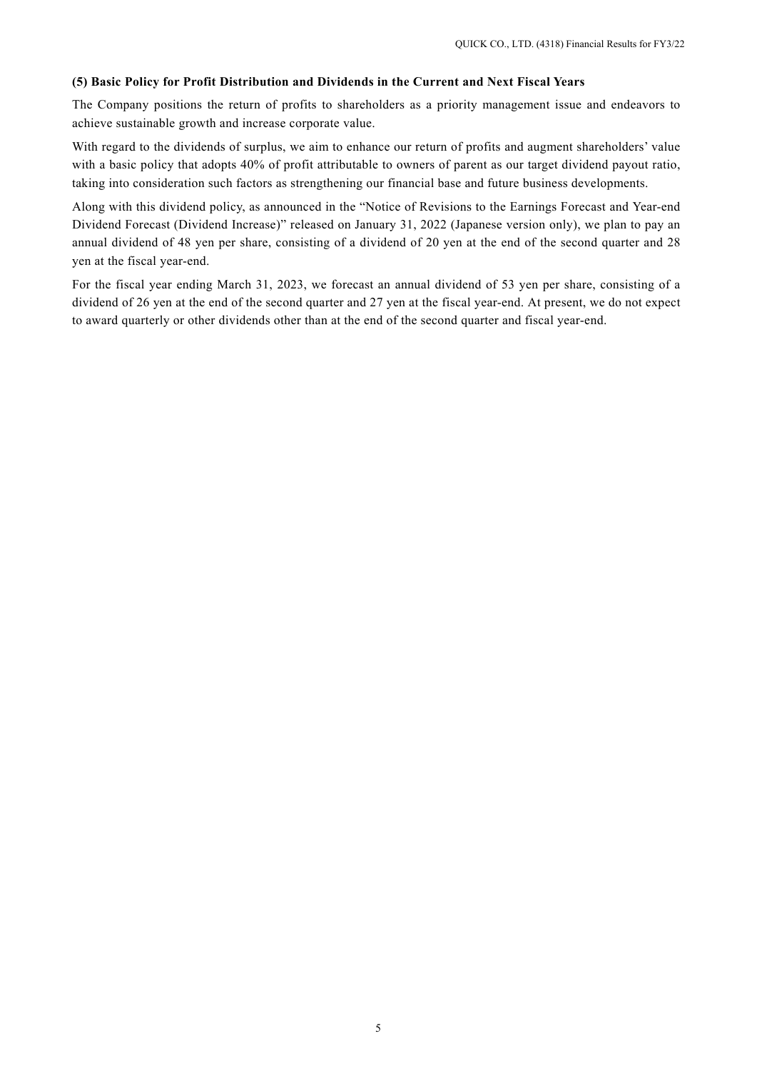## **(5) Basic Policy for Profit Distribution and Dividends in the Current and Next Fiscal Years**

The Company positions the return of profits to shareholders as a priority management issue and endeavors to achieve sustainable growth and increase corporate value.

With regard to the dividends of surplus, we aim to enhance our return of profits and augment shareholders' value with a basic policy that adopts 40% of profit attributable to owners of parent as our target dividend payout ratio, taking into consideration such factors as strengthening our financial base and future business developments.

Along with this dividend policy, as announced in the "Notice of Revisions to the Earnings Forecast and Year-end Dividend Forecast (Dividend Increase)" released on January 31, 2022 (Japanese version only), we plan to pay an annual dividend of 48 yen per share, consisting of a dividend of 20 yen at the end of the second quarter and 28 yen at the fiscal year-end.

For the fiscal year ending March 31, 2023, we forecast an annual dividend of 53 yen per share, consisting of a dividend of 26 yen at the end of the second quarter and 27 yen at the fiscal year-end. At present, we do not expect to award quarterly or other dividends other than at the end of the second quarter and fiscal year-end.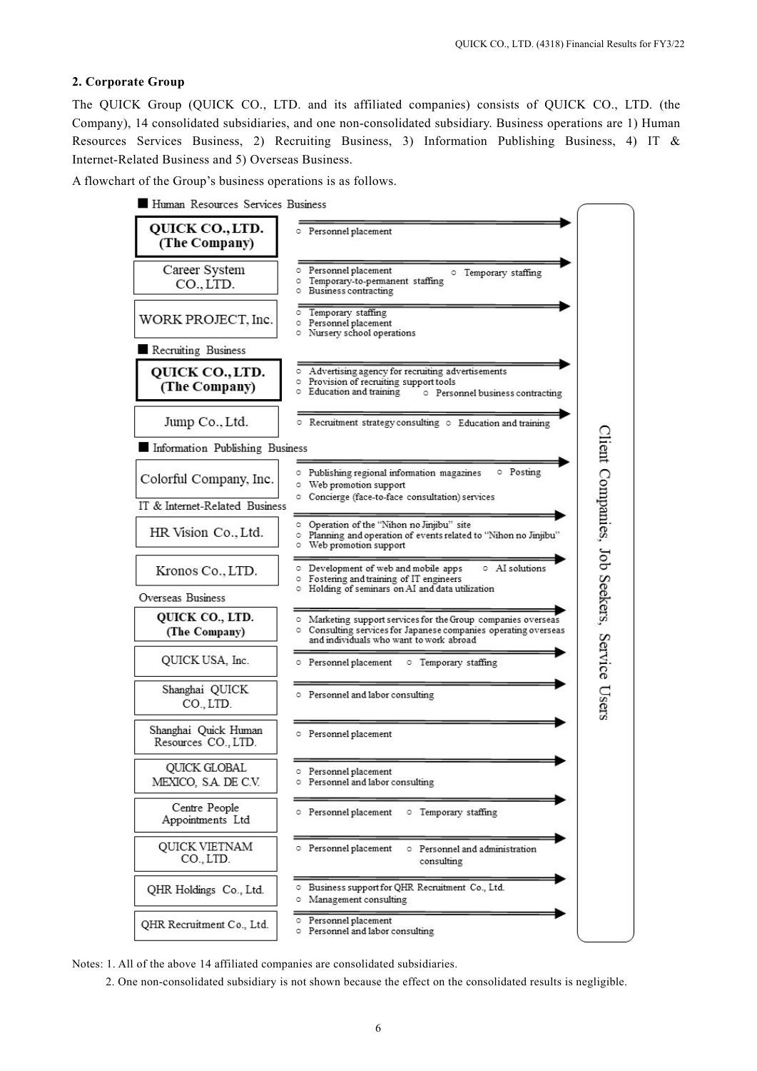## **2. Corporate Group**

The QUICK Group (QUICK CO., LTD. and its affiliated companies) consists of QUICK CO., LTD. (the Company), 14 consolidated subsidiaries, and one non-consolidated subsidiary. Business operations are 1) Human Resources Services Business, 2) Recruiting Business, 3) Information Publishing Business, 4) IT & Internet-Related Business and 5) Overseas Business.

A flowchart of the Group's business operations is as follows.

Human Resources Services Business



Notes: 1. All of the above 14 affiliated companies are consolidated subsidiaries.

2. One non-consolidated subsidiary is not shown because the effect on the consolidated results is negligible.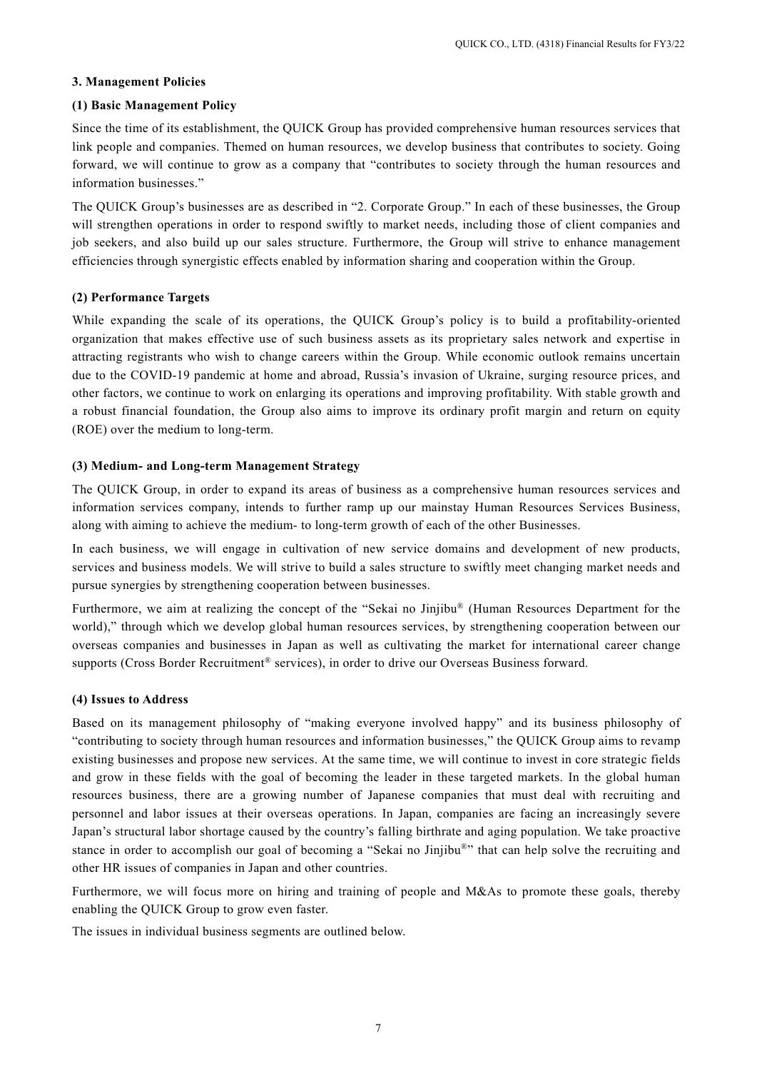### **3. Management Policies**

#### **(1) Basic Management Policy**

Since the time of its establishment, the QUICK Group has provided comprehensive human resources services that link people and companies. Themed on human resources, we develop business that contributes to society. Going forward, we will continue to grow as a company that "contributes to society through the human resources and information businesses."

The QUICK Group's businesses are as described in "2. Corporate Group." In each of these businesses, the Group will strengthen operations in order to respond swiftly to market needs, including those of client companies and job seekers, and also build up our sales structure. Furthermore, the Group will strive to enhance management efficiencies through synergistic effects enabled by information sharing and cooperation within the Group.

### **(2) Performance Targets**

While expanding the scale of its operations, the QUICK Group's policy is to build a profitability-oriented organization that makes effective use of such business assets as its proprietary sales network and expertise in attracting registrants who wish to change careers within the Group. While economic outlook remains uncertain due to the COVID-19 pandemic at home and abroad, Russia's invasion of Ukraine, surging resource prices, and other factors, we continue to work on enlarging its operations and improving profitability. With stable growth and a robust financial foundation, the Group also aims to improve its ordinary profit margin and return on equity (ROE) over the medium to long-term.

#### **(3) Medium- and Long-term Management Strategy**

The QUICK Group, in order to expand its areas of business as a comprehensive human resources services and information services company, intends to further ramp up our mainstay Human Resources Services Business, along with aiming to achieve the medium- to long-term growth of each of the other Businesses.

In each business, we will engage in cultivation of new service domains and development of new products, services and business models. We will strive to build a sales structure to swiftly meet changing market needs and pursue synergies by strengthening cooperation between businesses.

Furthermore, we aim at realizing the concept of the "Sekai no Jinjibu® (Human Resources Department for the world)," through which we develop global human resources services, by strengthening cooperation between our overseas companies and businesses in Japan as well as cultivating the market for international career change supports (Cross Border Recruitment® services), in order to drive our Overseas Business forward.

#### **(4) Issues to Address**

Based on its management philosophy of "making everyone involved happy" and its business philosophy of "contributing to society through human resources and information businesses," the QUICK Group aims to revamp existing businesses and propose new services. At the same time, we will continue to invest in core strategic fields and grow in these fields with the goal of becoming the leader in these targeted markets. In the global human resources business, there are a growing number of Japanese companies that must deal with recruiting and personnel and labor issues at their overseas operations. In Japan, companies are facing an increasingly severe Japan's structural labor shortage caused by the country's falling birthrate and aging population. We take proactive stance in order to accomplish our goal of becoming a "Sekai no Jinjibu®" that can help solve the recruiting and other HR issues of companies in Japan and other countries.

Furthermore, we will focus more on hiring and training of people and M&As to promote these goals, thereby enabling the QUICK Group to grow even faster.

The issues in individual business segments are outlined below.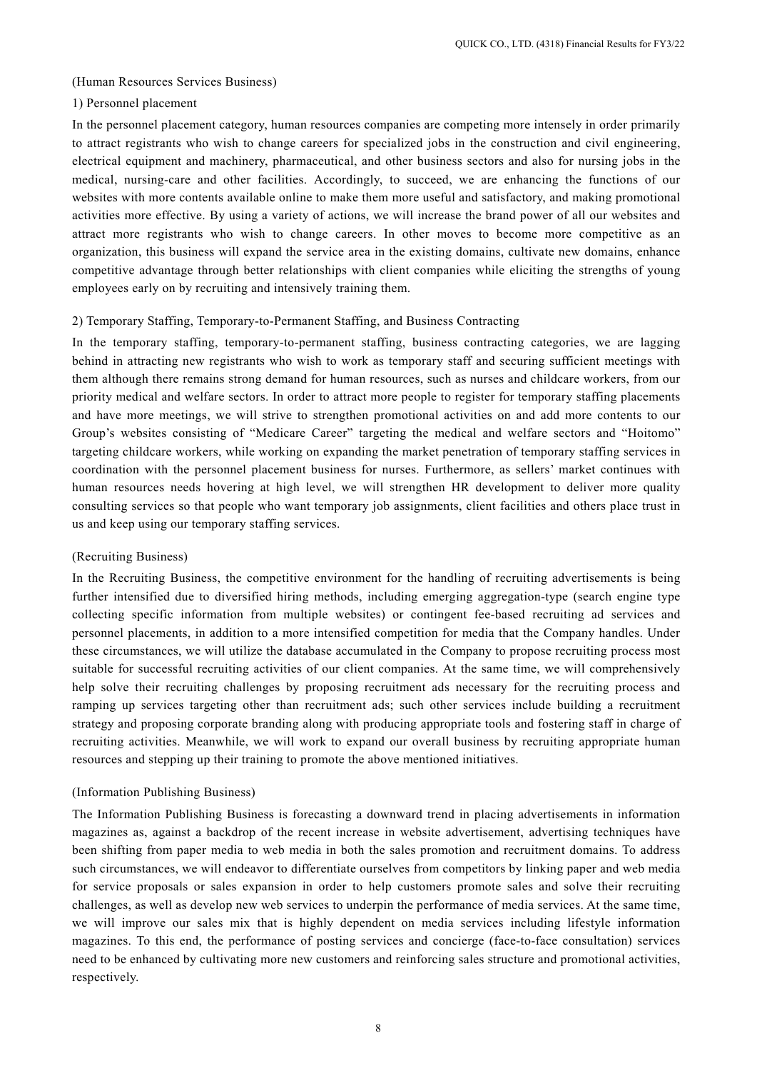#### (Human Resources Services Business)

### 1) Personnel placement

In the personnel placement category, human resources companies are competing more intensely in order primarily to attract registrants who wish to change careers for specialized jobs in the construction and civil engineering, electrical equipment and machinery, pharmaceutical, and other business sectors and also for nursing jobs in the medical, nursing-care and other facilities. Accordingly, to succeed, we are enhancing the functions of our websites with more contents available online to make them more useful and satisfactory, and making promotional activities more effective. By using a variety of actions, we will increase the brand power of all our websites and attract more registrants who wish to change careers. In other moves to become more competitive as an organization, this business will expand the service area in the existing domains, cultivate new domains, enhance competitive advantage through better relationships with client companies while eliciting the strengths of young employees early on by recruiting and intensively training them.

#### 2) Temporary Staffing, Temporary-to-Permanent Staffing, and Business Contracting

In the temporary staffing, temporary-to-permanent staffing, business contracting categories, we are lagging behind in attracting new registrants who wish to work as temporary staff and securing sufficient meetings with them although there remains strong demand for human resources, such as nurses and childcare workers, from our priority medical and welfare sectors. In order to attract more people to register for temporary staffing placements and have more meetings, we will strive to strengthen promotional activities on and add more contents to our Group's websites consisting of "Medicare Career" targeting the medical and welfare sectors and "Hoitomo" targeting childcare workers, while working on expanding the market penetration of temporary staffing services in coordination with the personnel placement business for nurses. Furthermore, as sellers' market continues with human resources needs hovering at high level, we will strengthen HR development to deliver more quality consulting services so that people who want temporary job assignments, client facilities and others place trust in us and keep using our temporary staffing services.

#### (Recruiting Business)

In the Recruiting Business, the competitive environment for the handling of recruiting advertisements is being further intensified due to diversified hiring methods, including emerging aggregation-type (search engine type collecting specific information from multiple websites) or contingent fee-based recruiting ad services and personnel placements, in addition to a more intensified competition for media that the Company handles. Under these circumstances, we will utilize the database accumulated in the Company to propose recruiting process most suitable for successful recruiting activities of our client companies. At the same time, we will comprehensively help solve their recruiting challenges by proposing recruitment ads necessary for the recruiting process and ramping up services targeting other than recruitment ads; such other services include building a recruitment strategy and proposing corporate branding along with producing appropriate tools and fostering staff in charge of recruiting activities. Meanwhile, we will work to expand our overall business by recruiting appropriate human resources and stepping up their training to promote the above mentioned initiatives.

#### (Information Publishing Business)

The Information Publishing Business is forecasting a downward trend in placing advertisements in information magazines as, against a backdrop of the recent increase in website advertisement, advertising techniques have been shifting from paper media to web media in both the sales promotion and recruitment domains. To address such circumstances, we will endeavor to differentiate ourselves from competitors by linking paper and web media for service proposals or sales expansion in order to help customers promote sales and solve their recruiting challenges, as well as develop new web services to underpin the performance of media services. At the same time, we will improve our sales mix that is highly dependent on media services including lifestyle information magazines. To this end, the performance of posting services and concierge (face-to-face consultation) services need to be enhanced by cultivating more new customers and reinforcing sales structure and promotional activities, respectively.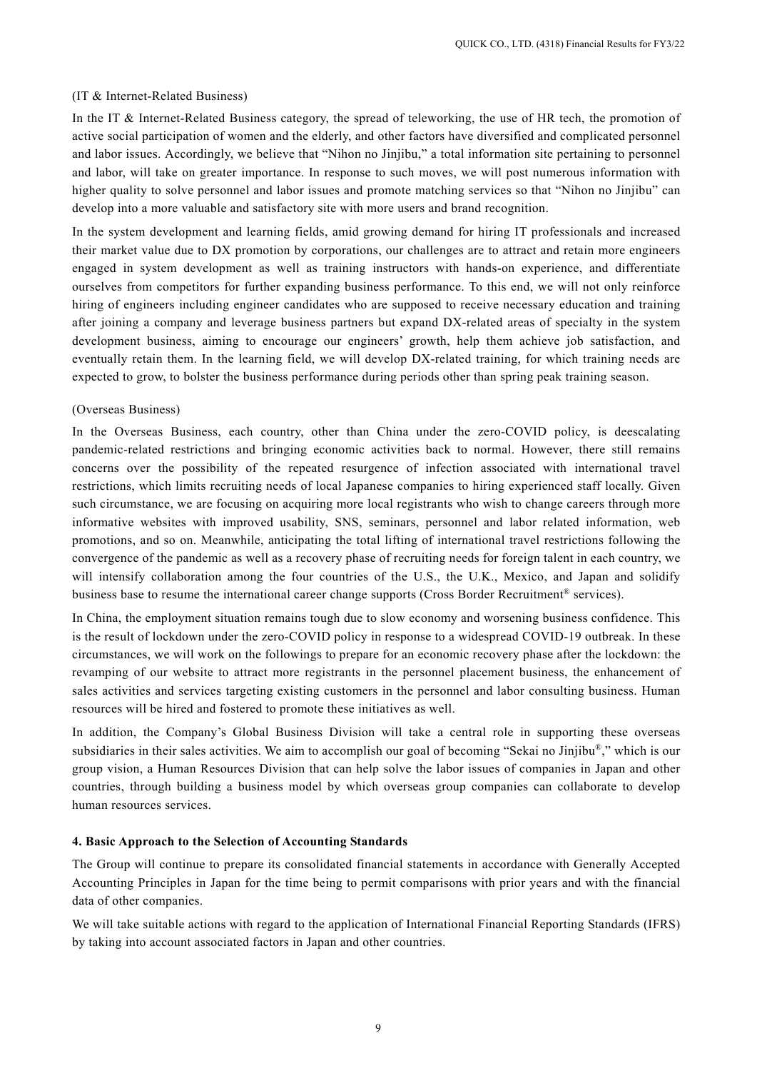## (IT & Internet-Related Business)

In the IT & Internet-Related Business category, the spread of teleworking, the use of HR tech, the promotion of active social participation of women and the elderly, and other factors have diversified and complicated personnel and labor issues. Accordingly, we believe that "Nihon no Jinjibu," a total information site pertaining to personnel and labor, will take on greater importance. In response to such moves, we will post numerous information with higher quality to solve personnel and labor issues and promote matching services so that "Nihon no Jinjibu" can develop into a more valuable and satisfactory site with more users and brand recognition.

In the system development and learning fields, amid growing demand for hiring IT professionals and increased their market value due to DX promotion by corporations, our challenges are to attract and retain more engineers engaged in system development as well as training instructors with hands-on experience, and differentiate ourselves from competitors for further expanding business performance. To this end, we will not only reinforce hiring of engineers including engineer candidates who are supposed to receive necessary education and training after joining a company and leverage business partners but expand DX-related areas of specialty in the system development business, aiming to encourage our engineers' growth, help them achieve job satisfaction, and eventually retain them. In the learning field, we will develop DX-related training, for which training needs are expected to grow, to bolster the business performance during periods other than spring peak training season.

#### (Overseas Business)

In the Overseas Business, each country, other than China under the zero-COVID policy, is deescalating pandemic-related restrictions and bringing economic activities back to normal. However, there still remains concerns over the possibility of the repeated resurgence of infection associated with international travel restrictions, which limits recruiting needs of local Japanese companies to hiring experienced staff locally. Given such circumstance, we are focusing on acquiring more local registrants who wish to change careers through more informative websites with improved usability, SNS, seminars, personnel and labor related information, web promotions, and so on. Meanwhile, anticipating the total lifting of international travel restrictions following the convergence of the pandemic as well as a recovery phase of recruiting needs for foreign talent in each country, we will intensify collaboration among the four countries of the U.S., the U.K., Mexico, and Japan and solidify business base to resume the international career change supports (Cross Border Recruitment® services).

In China, the employment situation remains tough due to slow economy and worsening business confidence. This is the result of lockdown under the zero-COVID policy in response to a widespread COVID-19 outbreak. In these circumstances, we will work on the followings to prepare for an economic recovery phase after the lockdown: the revamping of our website to attract more registrants in the personnel placement business, the enhancement of sales activities and services targeting existing customers in the personnel and labor consulting business. Human resources will be hired and fostered to promote these initiatives as well.

In addition, the Company's Global Business Division will take a central role in supporting these overseas subsidiaries in their sales activities. We aim to accomplish our goal of becoming "Sekai no Jinjibu®," which is our group vision, a Human Resources Division that can help solve the labor issues of companies in Japan and other countries, through building a business model by which overseas group companies can collaborate to develop human resources services.

#### **4. Basic Approach to the Selection of Accounting Standards**

The Group will continue to prepare its consolidated financial statements in accordance with Generally Accepted Accounting Principles in Japan for the time being to permit comparisons with prior years and with the financial data of other companies.

We will take suitable actions with regard to the application of International Financial Reporting Standards (IFRS) by taking into account associated factors in Japan and other countries.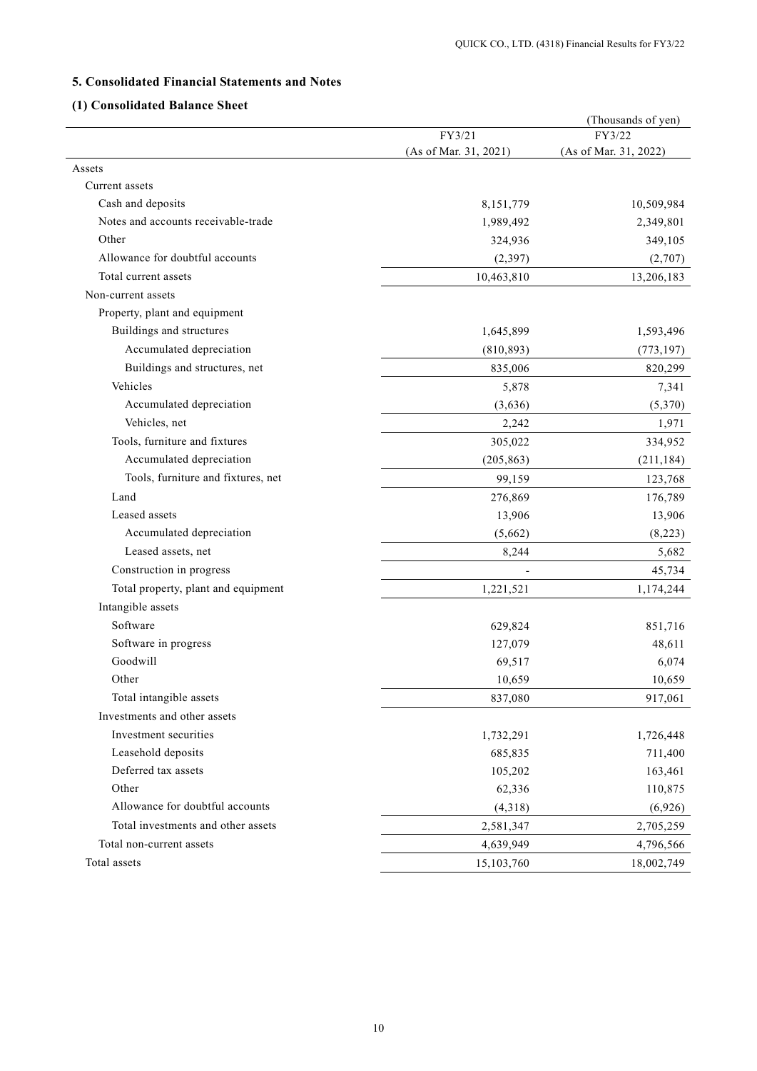## **5. Consolidated Financial Statements and Notes**

## **(1) Consolidated Balance Sheet**

|                                     |                       | (Thousands of yen)    |
|-------------------------------------|-----------------------|-----------------------|
|                                     | FY3/21                | FY3/22                |
|                                     | (As of Mar. 31, 2021) | (As of Mar. 31, 2022) |
| Assets                              |                       |                       |
| Current assets                      |                       |                       |
| Cash and deposits                   | 8,151,779             | 10,509,984            |
| Notes and accounts receivable-trade | 1,989,492             | 2,349,801             |
| Other                               | 324,936               | 349,105               |
| Allowance for doubtful accounts     | (2,397)               | (2,707)               |
| Total current assets                | 10,463,810            | 13,206,183            |
| Non-current assets                  |                       |                       |
| Property, plant and equipment       |                       |                       |
| Buildings and structures            | 1,645,899             | 1,593,496             |
| Accumulated depreciation            | (810, 893)            | (773, 197)            |
| Buildings and structures, net       | 835,006               | 820,299               |
| Vehicles                            | 5,878                 | 7,341                 |
| Accumulated depreciation            | (3,636)               | (5,370)               |
| Vehicles, net                       | 2,242                 | 1,971                 |
| Tools, furniture and fixtures       | 305,022               | 334,952               |
| Accumulated depreciation            | (205, 863)            | (211, 184)            |
| Tools, furniture and fixtures, net  | 99,159                | 123,768               |
| Land                                | 276,869               | 176,789               |
| Leased assets                       | 13,906                | 13,906                |
| Accumulated depreciation            | (5,662)               | (8,223)               |
| Leased assets, net                  | 8,244                 | 5,682                 |
| Construction in progress            |                       | 45,734                |
| Total property, plant and equipment | 1,221,521             | 1,174,244             |
| Intangible assets                   |                       |                       |
| Software                            | 629,824               | 851,716               |
| Software in progress                | 127,079               | 48,611                |
| Goodwill                            | 69,517                | 6,074                 |
| Other                               | 10,659                | 10,659                |
| Total intangible assets             | 837,080               | 917,061               |
| Investments and other assets        |                       |                       |
| Investment securities               | 1,732,291             | 1,726,448             |
| Leasehold deposits                  | 685,835               | 711,400               |
| Deferred tax assets                 | 105,202               | 163,461               |
| Other                               | 62,336                | 110,875               |
| Allowance for doubtful accounts     | (4,318)               | (6,926)               |
| Total investments and other assets  | 2,581,347             | 2,705,259             |
| Total non-current assets            | 4,639,949             | 4,796,566             |
| Total assets                        | 15,103,760            | 18,002,749            |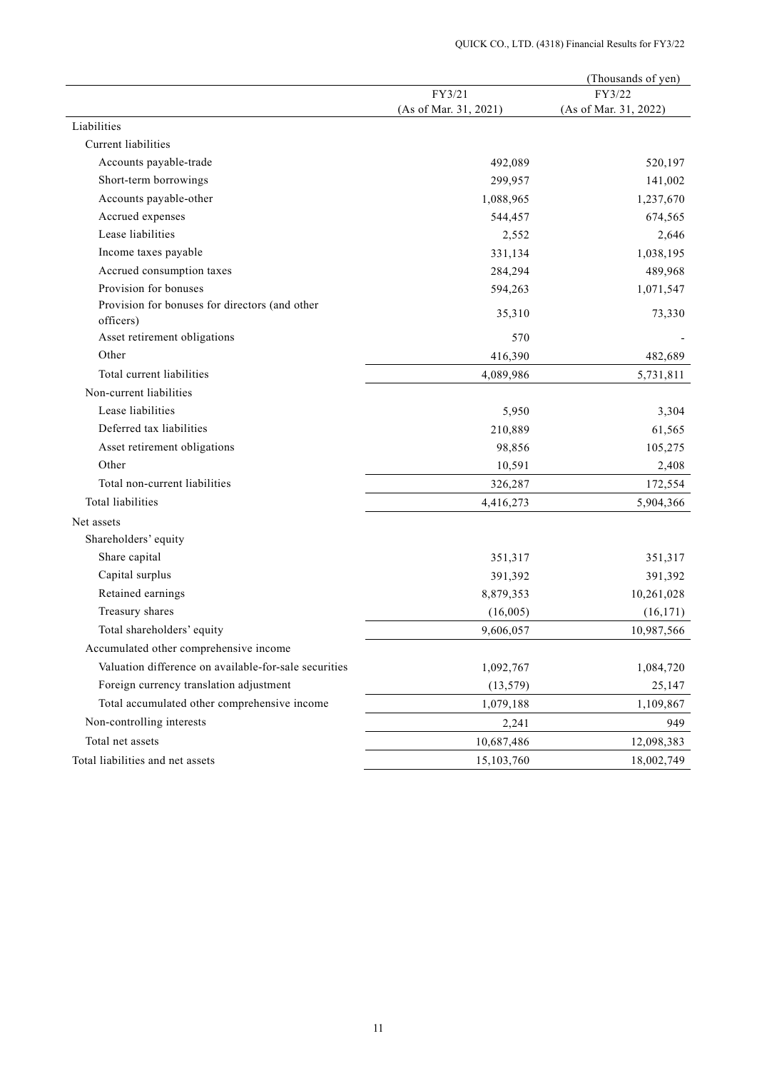| FY3/22<br>FY3/21<br>(As of Mar. 31, 2021)<br>(As of Mar. 31, 2022)<br>Liabilities<br>Current liabilities<br>Accounts payable-trade<br>492,089<br>520,197<br>Short-term borrowings<br>299,957<br>141,002<br>Accounts payable-other<br>1,237,670<br>1,088,965<br>Accrued expenses<br>544,457<br>674,565<br>Lease liabilities<br>2,552<br>2,646<br>Income taxes payable<br>331,134<br>1,038,195<br>Accrued consumption taxes<br>489,968<br>284,294<br>Provision for bonuses<br>594,263<br>1,071,547<br>Provision for bonuses for directors (and other<br>73,330<br>35,310<br>officers)<br>Asset retirement obligations<br>570<br>Other<br>482,689<br>416,390<br>Total current liabilities<br>4,089,986<br>5,731,811<br>Non-current liabilities<br>Lease liabilities<br>5,950<br>3,304<br>Deferred tax liabilities<br>61,565<br>210,889<br>Asset retirement obligations<br>105,275<br>98,856<br>Other<br>10,591<br>2,408<br>Total non-current liabilities<br>172,554<br>326,287<br>Total liabilities<br>5,904,366<br>4,416,273<br>Net assets<br>Shareholders' equity<br>Share capital<br>351,317<br>351,317 |
|---------------------------------------------------------------------------------------------------------------------------------------------------------------------------------------------------------------------------------------------------------------------------------------------------------------------------------------------------------------------------------------------------------------------------------------------------------------------------------------------------------------------------------------------------------------------------------------------------------------------------------------------------------------------------------------------------------------------------------------------------------------------------------------------------------------------------------------------------------------------------------------------------------------------------------------------------------------------------------------------------------------------------------------------------------------------------------------------------------|
|                                                                                                                                                                                                                                                                                                                                                                                                                                                                                                                                                                                                                                                                                                                                                                                                                                                                                                                                                                                                                                                                                                         |
|                                                                                                                                                                                                                                                                                                                                                                                                                                                                                                                                                                                                                                                                                                                                                                                                                                                                                                                                                                                                                                                                                                         |
|                                                                                                                                                                                                                                                                                                                                                                                                                                                                                                                                                                                                                                                                                                                                                                                                                                                                                                                                                                                                                                                                                                         |
|                                                                                                                                                                                                                                                                                                                                                                                                                                                                                                                                                                                                                                                                                                                                                                                                                                                                                                                                                                                                                                                                                                         |
|                                                                                                                                                                                                                                                                                                                                                                                                                                                                                                                                                                                                                                                                                                                                                                                                                                                                                                                                                                                                                                                                                                         |
|                                                                                                                                                                                                                                                                                                                                                                                                                                                                                                                                                                                                                                                                                                                                                                                                                                                                                                                                                                                                                                                                                                         |
|                                                                                                                                                                                                                                                                                                                                                                                                                                                                                                                                                                                                                                                                                                                                                                                                                                                                                                                                                                                                                                                                                                         |
|                                                                                                                                                                                                                                                                                                                                                                                                                                                                                                                                                                                                                                                                                                                                                                                                                                                                                                                                                                                                                                                                                                         |
|                                                                                                                                                                                                                                                                                                                                                                                                                                                                                                                                                                                                                                                                                                                                                                                                                                                                                                                                                                                                                                                                                                         |
|                                                                                                                                                                                                                                                                                                                                                                                                                                                                                                                                                                                                                                                                                                                                                                                                                                                                                                                                                                                                                                                                                                         |
|                                                                                                                                                                                                                                                                                                                                                                                                                                                                                                                                                                                                                                                                                                                                                                                                                                                                                                                                                                                                                                                                                                         |
|                                                                                                                                                                                                                                                                                                                                                                                                                                                                                                                                                                                                                                                                                                                                                                                                                                                                                                                                                                                                                                                                                                         |
|                                                                                                                                                                                                                                                                                                                                                                                                                                                                                                                                                                                                                                                                                                                                                                                                                                                                                                                                                                                                                                                                                                         |
|                                                                                                                                                                                                                                                                                                                                                                                                                                                                                                                                                                                                                                                                                                                                                                                                                                                                                                                                                                                                                                                                                                         |
|                                                                                                                                                                                                                                                                                                                                                                                                                                                                                                                                                                                                                                                                                                                                                                                                                                                                                                                                                                                                                                                                                                         |
|                                                                                                                                                                                                                                                                                                                                                                                                                                                                                                                                                                                                                                                                                                                                                                                                                                                                                                                                                                                                                                                                                                         |
|                                                                                                                                                                                                                                                                                                                                                                                                                                                                                                                                                                                                                                                                                                                                                                                                                                                                                                                                                                                                                                                                                                         |
|                                                                                                                                                                                                                                                                                                                                                                                                                                                                                                                                                                                                                                                                                                                                                                                                                                                                                                                                                                                                                                                                                                         |
|                                                                                                                                                                                                                                                                                                                                                                                                                                                                                                                                                                                                                                                                                                                                                                                                                                                                                                                                                                                                                                                                                                         |
|                                                                                                                                                                                                                                                                                                                                                                                                                                                                                                                                                                                                                                                                                                                                                                                                                                                                                                                                                                                                                                                                                                         |
|                                                                                                                                                                                                                                                                                                                                                                                                                                                                                                                                                                                                                                                                                                                                                                                                                                                                                                                                                                                                                                                                                                         |
|                                                                                                                                                                                                                                                                                                                                                                                                                                                                                                                                                                                                                                                                                                                                                                                                                                                                                                                                                                                                                                                                                                         |
|                                                                                                                                                                                                                                                                                                                                                                                                                                                                                                                                                                                                                                                                                                                                                                                                                                                                                                                                                                                                                                                                                                         |
|                                                                                                                                                                                                                                                                                                                                                                                                                                                                                                                                                                                                                                                                                                                                                                                                                                                                                                                                                                                                                                                                                                         |
|                                                                                                                                                                                                                                                                                                                                                                                                                                                                                                                                                                                                                                                                                                                                                                                                                                                                                                                                                                                                                                                                                                         |
|                                                                                                                                                                                                                                                                                                                                                                                                                                                                                                                                                                                                                                                                                                                                                                                                                                                                                                                                                                                                                                                                                                         |
| Capital surplus<br>391,392<br>391,392                                                                                                                                                                                                                                                                                                                                                                                                                                                                                                                                                                                                                                                                                                                                                                                                                                                                                                                                                                                                                                                                   |
| Retained earnings<br>8,879,353<br>10,261,028                                                                                                                                                                                                                                                                                                                                                                                                                                                                                                                                                                                                                                                                                                                                                                                                                                                                                                                                                                                                                                                            |
| Treasury shares<br>(16,005)<br>(16, 171)                                                                                                                                                                                                                                                                                                                                                                                                                                                                                                                                                                                                                                                                                                                                                                                                                                                                                                                                                                                                                                                                |
| Total shareholders' equity<br>9,606,057<br>10,987,566                                                                                                                                                                                                                                                                                                                                                                                                                                                                                                                                                                                                                                                                                                                                                                                                                                                                                                                                                                                                                                                   |
| Accumulated other comprehensive income                                                                                                                                                                                                                                                                                                                                                                                                                                                                                                                                                                                                                                                                                                                                                                                                                                                                                                                                                                                                                                                                  |
| Valuation difference on available-for-sale securities<br>1,092,767<br>1,084,720                                                                                                                                                                                                                                                                                                                                                                                                                                                                                                                                                                                                                                                                                                                                                                                                                                                                                                                                                                                                                         |
| Foreign currency translation adjustment<br>(13, 579)<br>25,147                                                                                                                                                                                                                                                                                                                                                                                                                                                                                                                                                                                                                                                                                                                                                                                                                                                                                                                                                                                                                                          |
| Total accumulated other comprehensive income<br>1,079,188<br>1,109,867                                                                                                                                                                                                                                                                                                                                                                                                                                                                                                                                                                                                                                                                                                                                                                                                                                                                                                                                                                                                                                  |
| Non-controlling interests<br>2,241<br>949                                                                                                                                                                                                                                                                                                                                                                                                                                                                                                                                                                                                                                                                                                                                                                                                                                                                                                                                                                                                                                                               |
| Total net assets<br>10,687,486<br>12,098,383                                                                                                                                                                                                                                                                                                                                                                                                                                                                                                                                                                                                                                                                                                                                                                                                                                                                                                                                                                                                                                                            |
| Total liabilities and net assets<br>15,103,760<br>18,002,749                                                                                                                                                                                                                                                                                                                                                                                                                                                                                                                                                                                                                                                                                                                                                                                                                                                                                                                                                                                                                                            |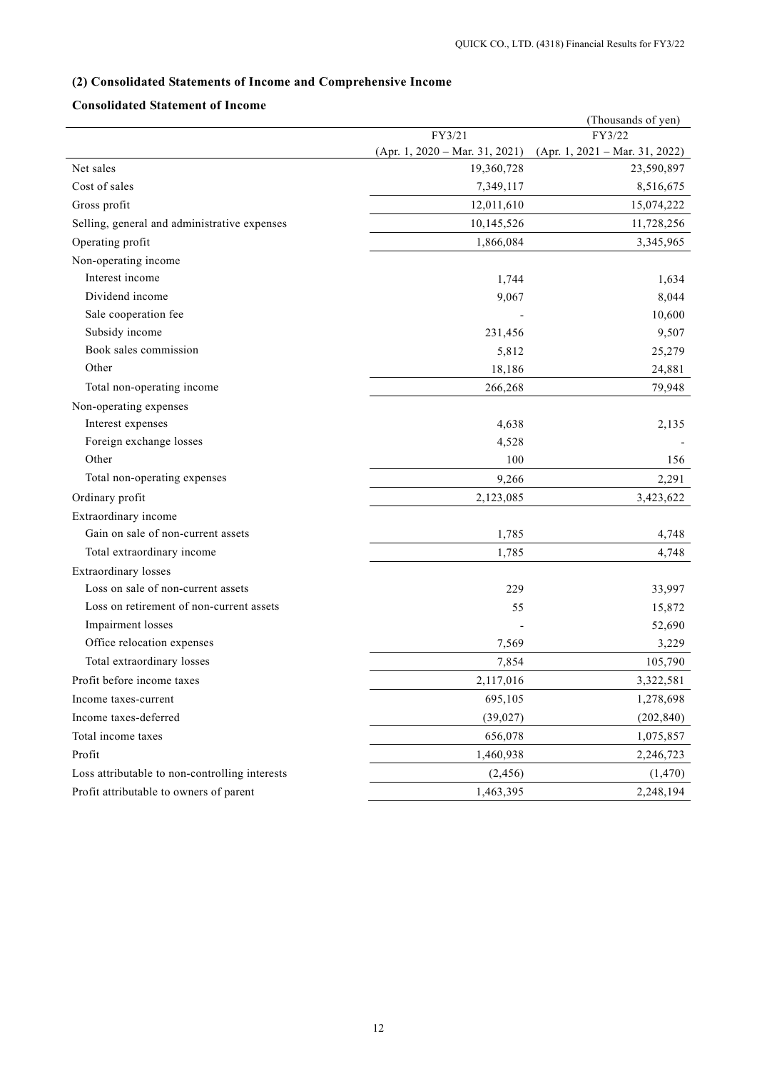# **(2) Consolidated Statements of Income and Comprehensive Income**

## **Consolidated Statement of Income**

|                                                |                                  | (Thousands of yen)               |
|------------------------------------------------|----------------------------------|----------------------------------|
|                                                | FY3/21                           | FY3/22                           |
|                                                | $(Apr. 1, 2020 - Mar. 31, 2021)$ | $(Apr. 1, 2021 - Mar. 31, 2022)$ |
| Net sales                                      | 19,360,728                       | 23,590,897                       |
| Cost of sales                                  | 7,349,117                        | 8,516,675                        |
| Gross profit                                   | 12,011,610                       | 15,074,222                       |
| Selling, general and administrative expenses   | 10,145,526                       | 11,728,256                       |
| Operating profit                               | 1,866,084                        | 3,345,965                        |
| Non-operating income                           |                                  |                                  |
| Interest income                                | 1,744                            | 1,634                            |
| Dividend income                                | 9,067                            | 8,044                            |
| Sale cooperation fee                           |                                  | 10,600                           |
| Subsidy income                                 | 231,456                          | 9,507                            |
| Book sales commission                          | 5,812                            | 25,279                           |
| Other                                          | 18,186                           | 24,881                           |
| Total non-operating income                     | 266,268                          | 79,948                           |
| Non-operating expenses                         |                                  |                                  |
| Interest expenses                              | 4,638                            | 2,135                            |
| Foreign exchange losses                        | 4,528                            |                                  |
| Other                                          | 100                              | 156                              |
| Total non-operating expenses                   | 9,266                            | 2,291                            |
| Ordinary profit                                | 2,123,085                        | 3,423,622                        |
| Extraordinary income                           |                                  |                                  |
| Gain on sale of non-current assets             | 1,785                            | 4,748                            |
| Total extraordinary income                     | 1,785                            | 4,748                            |
| <b>Extraordinary</b> losses                    |                                  |                                  |
| Loss on sale of non-current assets             | 229                              | 33,997                           |
| Loss on retirement of non-current assets       | 55                               | 15,872                           |
| Impairment losses                              |                                  | 52,690                           |
| Office relocation expenses                     | 7,569                            | 3,229                            |
| Total extraordinary losses                     | 7,854                            | 105,790                          |
| Profit before income taxes                     | 2,117,016                        | 3,322,581                        |
| Income taxes-current                           | 695,105                          | 1,278,698                        |
| Income taxes-deferred                          | (39, 027)                        | (202, 840)                       |
| Total income taxes                             | 656,078                          | 1,075,857                        |
| Profit                                         | 1,460,938                        | 2,246,723                        |
| Loss attributable to non-controlling interests | (2, 456)                         | (1, 470)                         |
| Profit attributable to owners of parent        | 1,463,395                        | 2,248,194                        |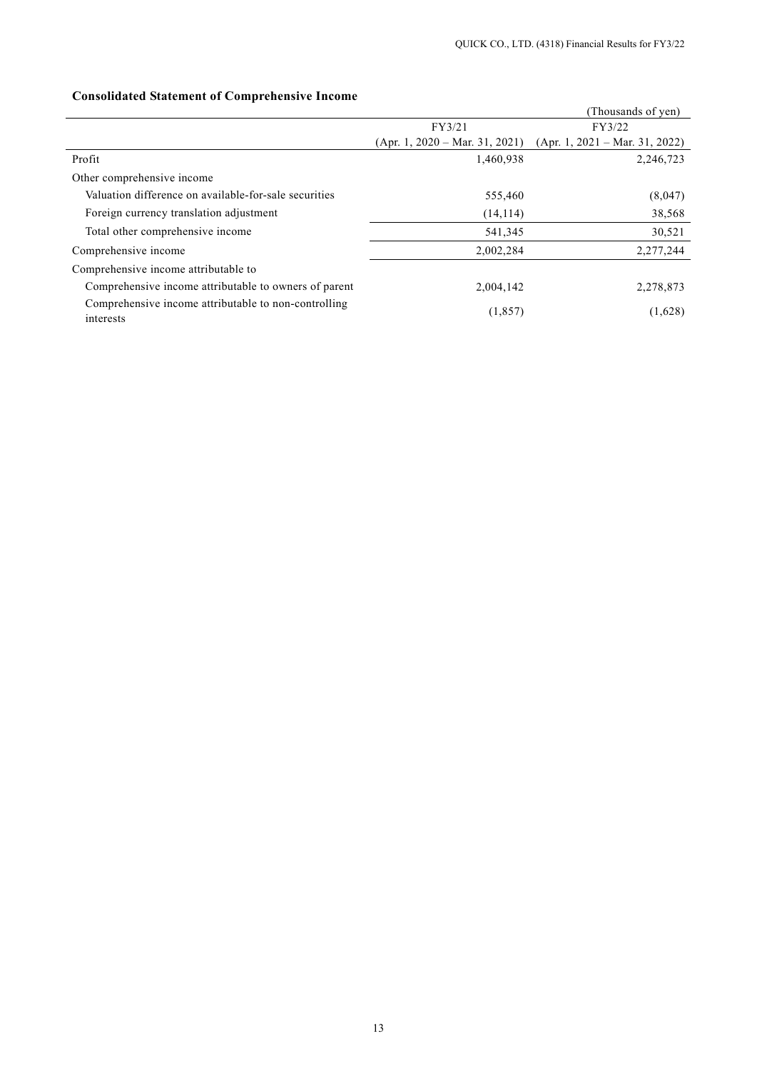## (Thousands of yen) FY3/21 (Apr. 1, 2020 – Mar. 31, 2021) FY3/22 (Apr. 1, 2021 – Mar. 31, 2022) Profit 2,246,723 2,246,723 Other comprehensive income Valuation difference on available-for-sale securities 555,460 555,460 (8,047) Foreign currency translation adjustment (14,114) 38,568 Total other comprehensive income 541,345 30,521 Comprehensive income 2,002,284 2,277,244 Comprehensive income attributable to Comprehensive income attributable to owners of parent 2,004,142 2,278,873 Comprehensive income attributable to non-controlling (1,857) (1,628) (1,628)

### **Consolidated Statement of Comprehensive Income**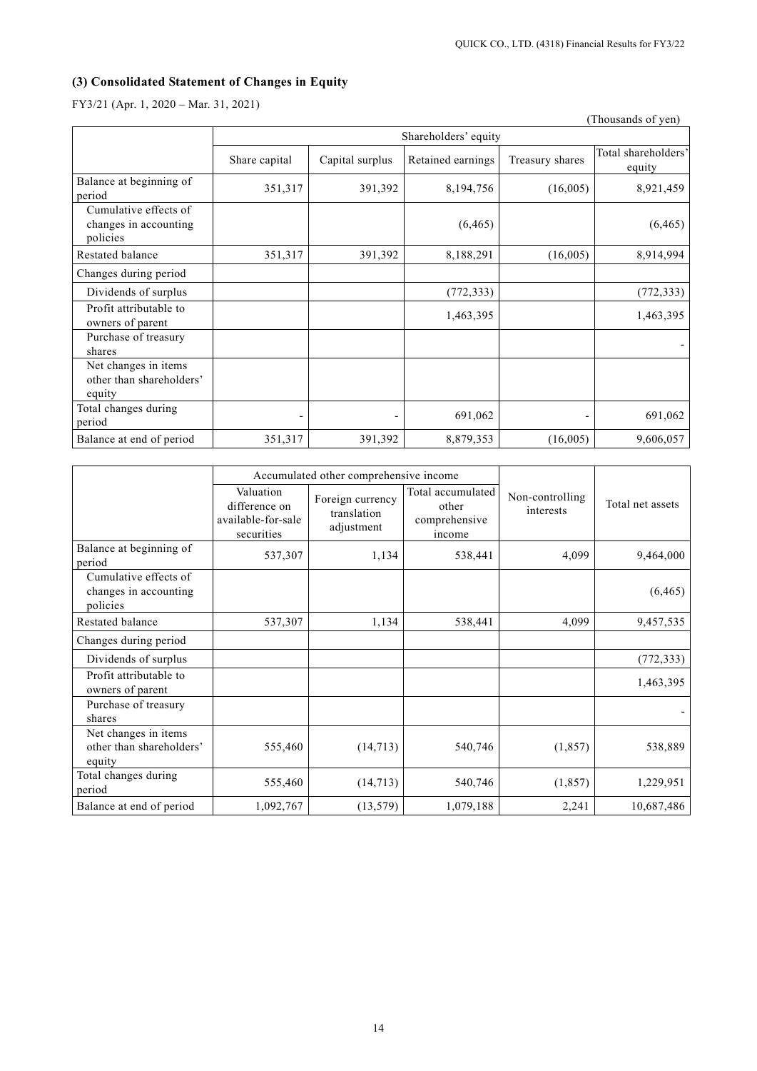# **(3) Consolidated Statement of Changes in Equity**

FY3/21 (Apr. 1, 2020 – Mar. 31, 2021)

|                                                            |                      |                 |                   |                              | (Thousands of yen)            |  |
|------------------------------------------------------------|----------------------|-----------------|-------------------|------------------------------|-------------------------------|--|
|                                                            | Shareholders' equity |                 |                   |                              |                               |  |
|                                                            | Share capital        | Capital surplus | Retained earnings | Treasury shares              | Total shareholders'<br>equity |  |
| Balance at beginning of<br>period                          | 351,317              | 391,392         | 8,194,756         | (16,005)                     | 8,921,459                     |  |
| Cumulative effects of<br>changes in accounting<br>policies |                      |                 | (6, 465)          |                              | (6, 465)                      |  |
| Restated balance                                           | 351,317              | 391,392         | 8,188,291         | (16,005)                     | 8,914,994                     |  |
| Changes during period                                      |                      |                 |                   |                              |                               |  |
| Dividends of surplus                                       |                      |                 | (772, 333)        |                              | (772, 333)                    |  |
| Profit attributable to<br>owners of parent                 |                      |                 | 1,463,395         |                              | 1,463,395                     |  |
| Purchase of treasury<br>shares                             |                      |                 |                   |                              |                               |  |
| Net changes in items<br>other than shareholders'<br>equity |                      |                 |                   |                              |                               |  |
| Total changes during<br>period                             |                      |                 | 691,062           | $\qquad \qquad \blacksquare$ | 691,062                       |  |
| Balance at end of period                                   | 351,317              | 391,392         | 8,879,353         | (16,005)                     | 9,606,057                     |  |

|                                                            | Accumulated other comprehensive income                         |                                               |                                                       |                              |                  |  |
|------------------------------------------------------------|----------------------------------------------------------------|-----------------------------------------------|-------------------------------------------------------|------------------------------|------------------|--|
|                                                            | Valuation<br>difference on<br>available-for-sale<br>securities | Foreign currency<br>translation<br>adjustment | Total accumulated<br>other<br>comprehensive<br>income | Non-controlling<br>interests | Total net assets |  |
| Balance at beginning of<br>period                          | 537,307                                                        | 1,134                                         | 538,441                                               | 4,099                        | 9,464,000        |  |
| Cumulative effects of<br>changes in accounting<br>policies |                                                                |                                               |                                                       |                              | (6, 465)         |  |
| Restated balance                                           | 537,307                                                        | 1,134                                         | 538,441                                               | 4,099                        | 9,457,535        |  |
| Changes during period                                      |                                                                |                                               |                                                       |                              |                  |  |
| Dividends of surplus                                       |                                                                |                                               |                                                       |                              | (772, 333)       |  |
| Profit attributable to<br>owners of parent                 |                                                                |                                               |                                                       |                              | 1,463,395        |  |
| Purchase of treasury<br>shares                             |                                                                |                                               |                                                       |                              |                  |  |
| Net changes in items<br>other than shareholders'<br>equity | 555,460                                                        | (14, 713)                                     | 540,746                                               | (1, 857)                     | 538,889          |  |
| Total changes during<br>period                             | 555,460                                                        | (14, 713)                                     | 540,746                                               | (1, 857)                     | 1,229,951        |  |
| Balance at end of period                                   | 1,092,767                                                      | (13, 579)                                     | 1,079,188                                             | 2,241                        | 10,687,486       |  |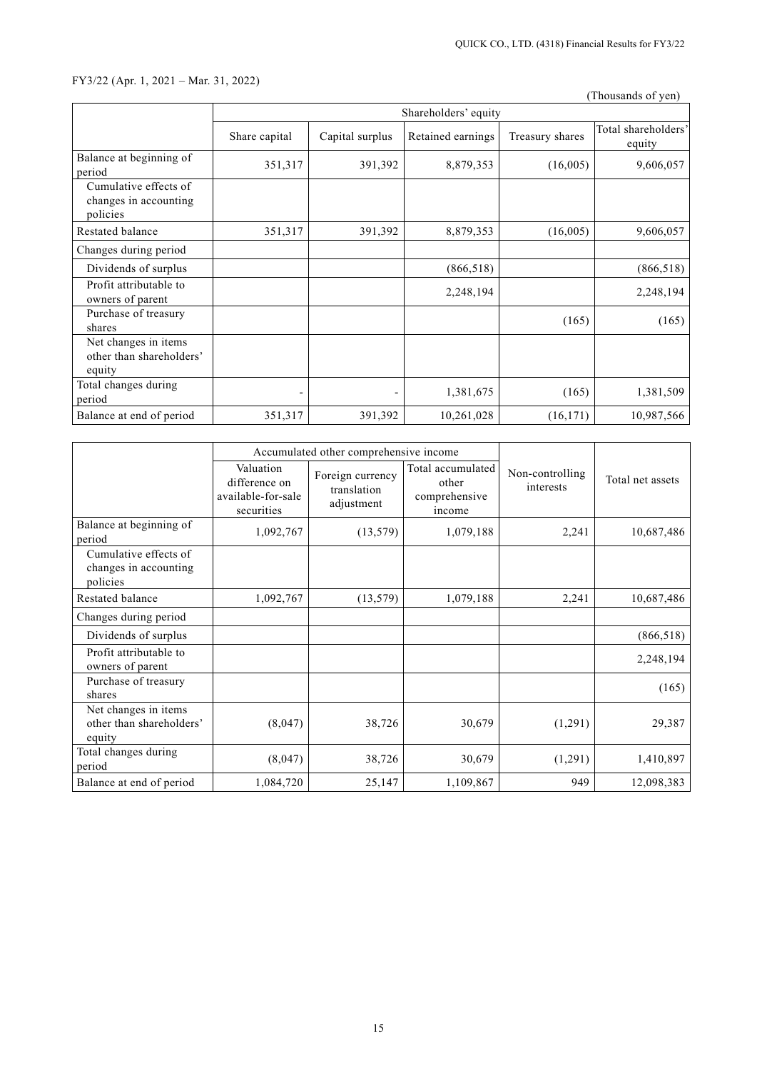## FY3/22 (Apr. 1, 2021 – Mar. 31, 2022)

(Thousands of yen)

|                                                            |               |                 | Shareholders' equity |                 |                               |
|------------------------------------------------------------|---------------|-----------------|----------------------|-----------------|-------------------------------|
|                                                            | Share capital | Capital surplus | Retained earnings    | Treasury shares | Total shareholders'<br>equity |
| Balance at beginning of<br>period                          | 351,317       | 391,392         | 8,879,353            | (16,005)        | 9,606,057                     |
| Cumulative effects of<br>changes in accounting<br>policies |               |                 |                      |                 |                               |
| Restated balance                                           | 351,317       | 391,392         | 8,879,353            | (16,005)        | 9,606,057                     |
| Changes during period                                      |               |                 |                      |                 |                               |
| Dividends of surplus                                       |               |                 | (866, 518)           |                 | (866, 518)                    |
| Profit attributable to<br>owners of parent                 |               |                 | 2,248,194            |                 | 2,248,194                     |
| Purchase of treasury<br>shares                             |               |                 |                      | (165)           | (165)                         |
| Net changes in items<br>other than shareholders'<br>equity |               |                 |                      |                 |                               |
| Total changes during<br>period                             |               |                 | 1,381,675            | (165)           | 1,381,509                     |
| Balance at end of period                                   | 351,317       | 391,392         | 10,261,028           | (16, 171)       | 10,987,566                    |

|                                                            |                                                                | Accumulated other comprehensive income        |                                                       |                              |                  |
|------------------------------------------------------------|----------------------------------------------------------------|-----------------------------------------------|-------------------------------------------------------|------------------------------|------------------|
|                                                            | Valuation<br>difference on<br>available-for-sale<br>securities | Foreign currency<br>translation<br>adjustment | Total accumulated<br>other<br>comprehensive<br>income | Non-controlling<br>interests | Total net assets |
| Balance at beginning of<br>period                          | 1,092,767                                                      | (13, 579)                                     | 1,079,188                                             | 2,241                        | 10,687,486       |
| Cumulative effects of<br>changes in accounting<br>policies |                                                                |                                               |                                                       |                              |                  |
| Restated balance                                           | 1,092,767                                                      | (13, 579)                                     | 1,079,188                                             | 2,241                        | 10,687,486       |
| Changes during period                                      |                                                                |                                               |                                                       |                              |                  |
| Dividends of surplus                                       |                                                                |                                               |                                                       |                              | (866, 518)       |
| Profit attributable to<br>owners of parent                 |                                                                |                                               |                                                       |                              | 2,248,194        |
| Purchase of treasury<br>shares                             |                                                                |                                               |                                                       |                              | (165)            |
| Net changes in items<br>other than shareholders'<br>equity | (8,047)                                                        | 38,726                                        | 30,679                                                | (1,291)                      | 29,387           |
| Total changes during<br>period                             | (8,047)                                                        | 38,726                                        | 30,679                                                | (1,291)                      | 1,410,897        |
| Balance at end of period                                   | 1,084,720                                                      | 25,147                                        | 1,109,867                                             | 949                          | 12,098,383       |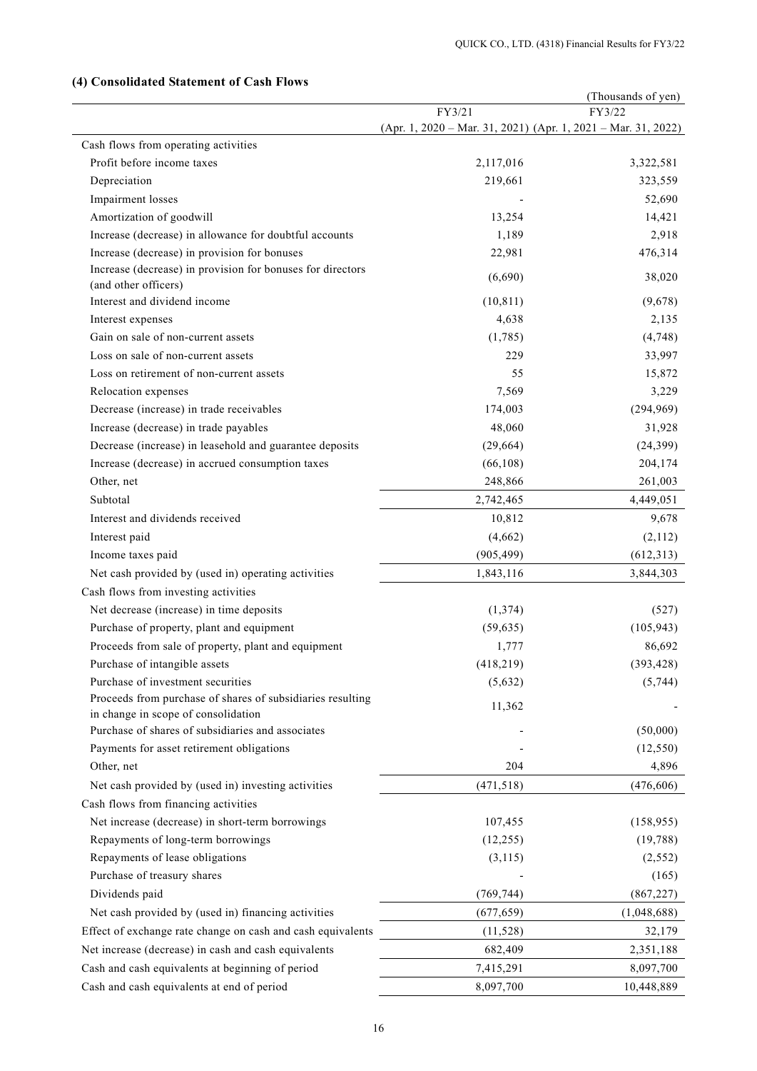|                                                                                                            |                                                                 | (Thousands of yen) |
|------------------------------------------------------------------------------------------------------------|-----------------------------------------------------------------|--------------------|
|                                                                                                            | FY3/21                                                          | FY3/22             |
|                                                                                                            | $(Apr. 1, 2020 - Mar. 31, 2021)$ (Apr. 1, 2021 – Mar. 31, 2022) |                    |
| Cash flows from operating activities                                                                       |                                                                 |                    |
| Profit before income taxes                                                                                 | 2,117,016                                                       | 3,322,581          |
| Depreciation                                                                                               | 219,661                                                         | 323,559            |
| Impairment losses                                                                                          |                                                                 | 52,690             |
| Amortization of goodwill                                                                                   | 13,254                                                          | 14,421             |
| Increase (decrease) in allowance for doubtful accounts                                                     | 1,189                                                           | 2,918              |
| Increase (decrease) in provision for bonuses<br>Increase (decrease) in provision for bonuses for directors | 22,981                                                          | 476,314            |
| (and other officers)                                                                                       | (6,690)                                                         | 38,020             |
| Interest and dividend income                                                                               | (10, 811)                                                       | (9,678)            |
| Interest expenses                                                                                          | 4,638                                                           | 2,135              |
| Gain on sale of non-current assets                                                                         | (1,785)                                                         | (4,748)            |
| Loss on sale of non-current assets                                                                         | 229                                                             | 33,997             |
| Loss on retirement of non-current assets                                                                   | 55                                                              | 15,872             |
| Relocation expenses                                                                                        | 7,569                                                           | 3,229              |
| Decrease (increase) in trade receivables                                                                   | 174,003                                                         | (294, 969)         |
| Increase (decrease) in trade payables                                                                      | 48,060                                                          | 31,928             |
| Decrease (increase) in leasehold and guarantee deposits                                                    | (29, 664)                                                       | (24, 399)          |
| Increase (decrease) in accrued consumption taxes                                                           | (66, 108)                                                       | 204,174            |
| Other, net                                                                                                 | 248,866                                                         | 261,003            |
| Subtotal                                                                                                   | 2,742,465                                                       | 4,449,051          |
| Interest and dividends received                                                                            |                                                                 |                    |
|                                                                                                            | 10,812                                                          | 9,678              |
| Interest paid<br>Income taxes paid                                                                         | (4,662)<br>(905, 499)                                           | (2,112)            |
|                                                                                                            |                                                                 | (612, 313)         |
| Net cash provided by (used in) operating activities                                                        | 1,843,116                                                       | 3,844,303          |
| Cash flows from investing activities                                                                       |                                                                 |                    |
| Net decrease (increase) in time deposits                                                                   | (1, 374)                                                        | (527)              |
| Purchase of property, plant and equipment                                                                  | (59, 635)                                                       | (105, 943)         |
| Proceeds from sale of property, plant and equipment                                                        | 1,777                                                           | 86,692             |
| Purchase of intangible assets                                                                              | (418, 219)                                                      | (393, 428)         |
| Purchase of investment securities<br>Proceeds from purchase of shares of subsidiaries resulting            | (5,632)                                                         | (5,744)            |
| in change in scope of consolidation                                                                        | 11,362                                                          |                    |
| Purchase of shares of subsidiaries and associates                                                          |                                                                 | (50,000)           |
| Payments for asset retirement obligations                                                                  |                                                                 | (12, 550)          |
| Other, net                                                                                                 | 204                                                             | 4,896              |
| Net cash provided by (used in) investing activities                                                        | (471, 518)                                                      | (476, 606)         |
| Cash flows from financing activities                                                                       |                                                                 |                    |
| Net increase (decrease) in short-term borrowings                                                           | 107,455                                                         | (158, 955)         |
| Repayments of long-term borrowings                                                                         | (12, 255)                                                       | (19, 788)          |
| Repayments of lease obligations                                                                            | (3, 115)                                                        | (2, 552)           |
| Purchase of treasury shares                                                                                |                                                                 | (165)              |
| Dividends paid                                                                                             | (769, 744)                                                      | (867, 227)         |
| Net cash provided by (used in) financing activities                                                        | (677, 659)                                                      | (1,048,688)        |
| Effect of exchange rate change on cash and cash equivalents                                                | (11, 528)                                                       | 32,179             |
| Net increase (decrease) in cash and cash equivalents                                                       | 682,409                                                         |                    |
|                                                                                                            |                                                                 | 2,351,188          |
| Cash and cash equivalents at beginning of period                                                           | 7,415,291                                                       | 8,097,700          |

## **(4) Consolidated Statement of Cash Flows**

Cash and cash equivalents at end of period 8,097,700 8,097,700 10,448,889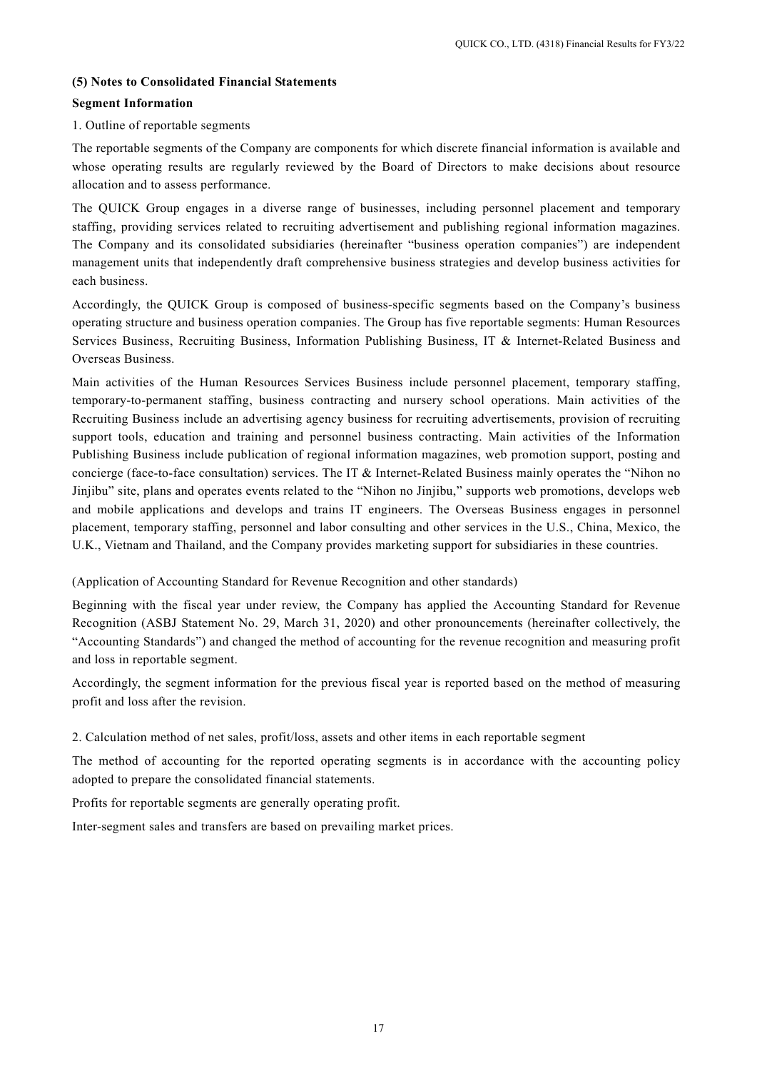## **(5) Notes to Consolidated Financial Statements**

## **Segment Information**

## 1. Outline of reportable segments

The reportable segments of the Company are components for which discrete financial information is available and whose operating results are regularly reviewed by the Board of Directors to make decisions about resource allocation and to assess performance.

The QUICK Group engages in a diverse range of businesses, including personnel placement and temporary staffing, providing services related to recruiting advertisement and publishing regional information magazines. The Company and its consolidated subsidiaries (hereinafter "business operation companies") are independent management units that independently draft comprehensive business strategies and develop business activities for each business.

Accordingly, the QUICK Group is composed of business-specific segments based on the Company's business operating structure and business operation companies. The Group has five reportable segments: Human Resources Services Business, Recruiting Business, Information Publishing Business, IT & Internet-Related Business and Overseas Business.

Main activities of the Human Resources Services Business include personnel placement, temporary staffing, temporary-to-permanent staffing, business contracting and nursery school operations. Main activities of the Recruiting Business include an advertising agency business for recruiting advertisements, provision of recruiting support tools, education and training and personnel business contracting. Main activities of the Information Publishing Business include publication of regional information magazines, web promotion support, posting and concierge (face-to-face consultation) services. The IT & Internet-Related Business mainly operates the "Nihon no Jinjibu" site, plans and operates events related to the "Nihon no Jinjibu," supports web promotions, develops web and mobile applications and develops and trains IT engineers. The Overseas Business engages in personnel placement, temporary staffing, personnel and labor consulting and other services in the U.S., China, Mexico, the U.K., Vietnam and Thailand, and the Company provides marketing support for subsidiaries in these countries.

(Application of Accounting Standard for Revenue Recognition and other standards)

Beginning with the fiscal year under review, the Company has applied the Accounting Standard for Revenue Recognition (ASBJ Statement No. 29, March 31, 2020) and other pronouncements (hereinafter collectively, the "Accounting Standards") and changed the method of accounting for the revenue recognition and measuring profit and loss in reportable segment.

Accordingly, the segment information for the previous fiscal year is reported based on the method of measuring profit and loss after the revision.

2. Calculation method of net sales, profit/loss, assets and other items in each reportable segment

The method of accounting for the reported operating segments is in accordance with the accounting policy adopted to prepare the consolidated financial statements.

Profits for reportable segments are generally operating profit.

Inter-segment sales and transfers are based on prevailing market prices.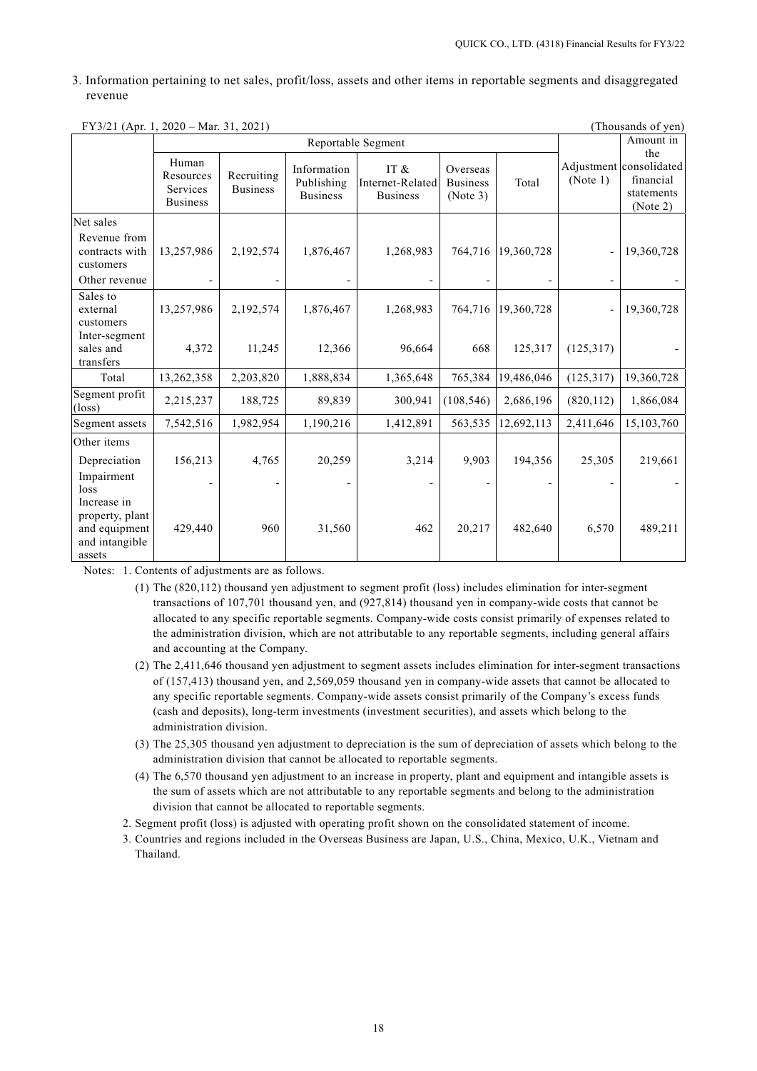3. Information pertaining to net sales, profit/loss, assets and other items in reportable segments and disaggregated revenue

| $\Gamma$ Y 3/21 (Apr. 1, 2020 – Mar. 31, 2021)                              |                                                   |                               |                                              |                                                |                                         |            |            | (Thousands of yen)                                                    |
|-----------------------------------------------------------------------------|---------------------------------------------------|-------------------------------|----------------------------------------------|------------------------------------------------|-----------------------------------------|------------|------------|-----------------------------------------------------------------------|
|                                                                             | Reportable Segment                                |                               |                                              |                                                |                                         |            |            | Amount in                                                             |
|                                                                             | Human<br>Resources<br>Services<br><b>Business</b> | Recruiting<br><b>Business</b> | Information<br>Publishing<br><b>Business</b> | IT $\&$<br>Internet-Related<br><b>Business</b> | Overseas<br><b>Business</b><br>(Note 3) | Total      | (Note 1)   | the<br>Adjustment consolidated<br>financial<br>statements<br>(Note 2) |
| Net sales                                                                   |                                                   |                               |                                              |                                                |                                         |            |            |                                                                       |
| Revenue from<br>contracts with<br>customers                                 | 13,257,986                                        | 2,192,574                     | 1,876,467                                    | 1,268,983                                      | 764,716                                 | 19,360,728 |            | 19,360,728                                                            |
| Other revenue                                                               |                                                   |                               |                                              |                                                |                                         |            |            |                                                                       |
| Sales to<br>external<br>customers                                           | 13,257,986                                        | 2,192,574                     | 1,876,467                                    | 1,268,983                                      | 764,716                                 | 19,360,728 |            | 19,360,728                                                            |
| Inter-segment<br>sales and<br>transfers                                     | 4,372                                             | 11,245                        | 12,366                                       | 96,664                                         | 668                                     | 125,317    | (125, 317) |                                                                       |
| Total                                                                       | 13,262,358                                        | 2,203,820                     | 1,888,834                                    | 1,365,648                                      | 765,384                                 | 19,486,046 | (125, 317) | 19,360,728                                                            |
| Segment profit<br>$(\text{loss})$                                           | 2,215,237                                         | 188,725                       | 89,839                                       | 300,941                                        | (108, 546)                              | 2,686,196  | (820, 112) | 1,866,084                                                             |
| Segment assets                                                              | 7,542,516                                         | 1,982,954                     | 1,190,216                                    | 1,412,891                                      | 563,535                                 | 12,692,113 | 2,411,646  | 15,103,760                                                            |
| Other items<br>Depreciation<br>Impairment<br>loss                           | 156,213                                           | 4,765                         | 20,259                                       | 3,214                                          | 9,903                                   | 194,356    | 25,305     | 219,661                                                               |
| Increase in<br>property, plant<br>and equipment<br>and intangible<br>assets | 429,440                                           | 960                           | 31,560                                       | 462                                            | 20,217                                  | 482,640    | 6,570      | 489,211                                                               |

 $FY2/21 (A - 1, 2020, M - 21, 2021)$  (Thousands of yen) (Thousands of yen)

Notes: 1. Contents of adjustments are as follows.

- (1) The (820,112) thousand yen adjustment to segment profit (loss) includes elimination for inter-segment transactions of 107,701 thousand yen, and (927,814) thousand yen in company-wide costs that cannot be allocated to any specific reportable segments. Company-wide costs consist primarily of expenses related to the administration division, which are not attributable to any reportable segments, including general affairs and accounting at the Company.
- (2) The 2,411,646 thousand yen adjustment to segment assets includes elimination for inter-segment transactions of (157,413) thousand yen, and 2,569,059 thousand yen in company-wide assets that cannot be allocated to any specific reportable segments. Company-wide assets consist primarily of the Company's excess funds (cash and deposits), long-term investments (investment securities), and assets which belong to the administration division.
- (3) The 25,305 thousand yen adjustment to depreciation is the sum of depreciation of assets which belong to the administration division that cannot be allocated to reportable segments.
- (4) The 6,570 thousand yen adjustment to an increase in property, plant and equipment and intangible assets is the sum of assets which are not attributable to any reportable segments and belong to the administration division that cannot be allocated to reportable segments.
- 2. Segment profit (loss) is adjusted with operating profit shown on the consolidated statement of income.
- 3. Countries and regions included in the Overseas Business are Japan, U.S., China, Mexico, U.K., Vietnam and Thailand.